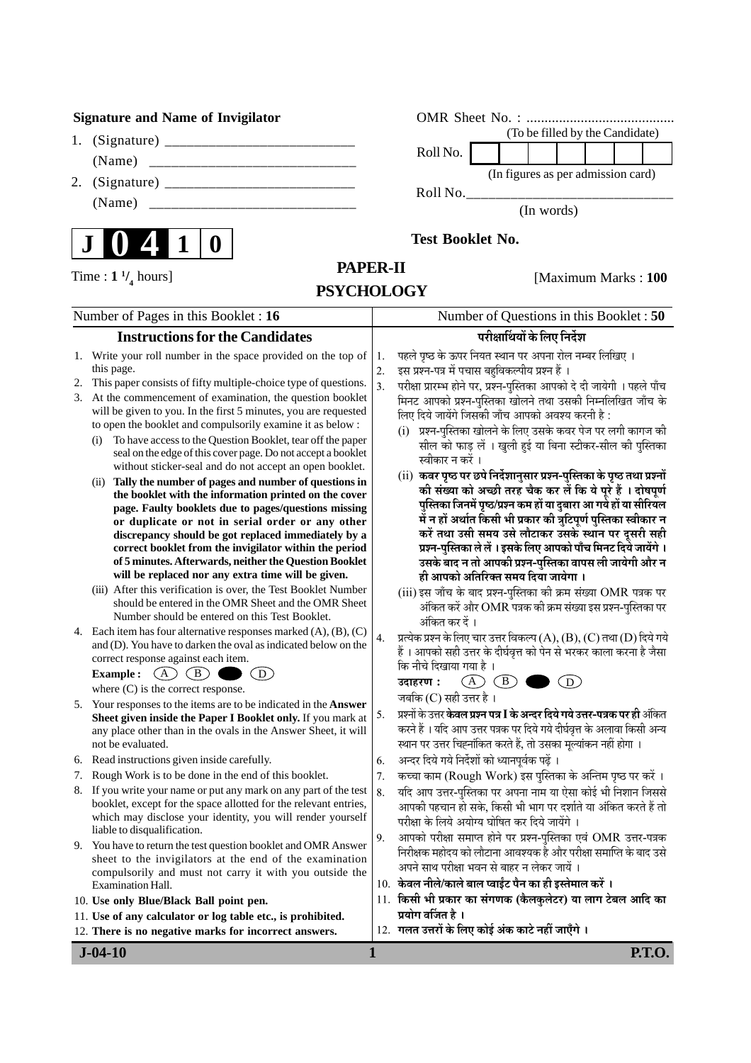### **Signature and Name of Invigilator**

- 1. (Signature) \_\_\_\_\_\_\_\_\_\_\_\_\_\_\_\_\_\_\_\_\_\_\_\_\_\_ (Name) \_\_\_\_\_\_\_\_\_\_\_\_\_\_\_\_\_\_\_\_\_\_\_\_\_\_\_\_
- 2. (Signature) \_\_\_\_\_\_\_\_\_\_\_\_\_\_\_\_\_\_\_\_\_\_\_\_\_\_ (Name) \_\_\_\_\_\_\_\_\_\_\_\_\_\_\_\_\_\_\_\_\_\_\_\_\_\_\_\_



| OMR Sheet No. : |                                 |  |  |  |  |                                    |  |
|-----------------|---------------------------------|--|--|--|--|------------------------------------|--|
|                 | (To be filled by the Candidate) |  |  |  |  |                                    |  |
| Roll No.        |                                 |  |  |  |  |                                    |  |
|                 |                                 |  |  |  |  | (In figures as per admission card) |  |
| Roll No.        |                                 |  |  |  |  |                                    |  |

(In words)

**Test Booklet No.**

**/ <sup>4</sup>** hours]

# **PAPER-II PSYCHOLOGY**

[Maximum Marks : 100

| Number of Pages in this Booklet : 16 |                                                                                                                                                                                                                                                                                                                                                                                                                                                                                                                                                                                                                                                                                                                                                                                                                                                                                                                                                                                                                  |                                            | Number of Questions in this Booklet: 50                                                                                                                                                                                                                                                                                                                                                                                                                                                                                                                                                                                                                                                                                                                                                                                                                                                                                                                                  |  |  |
|--------------------------------------|------------------------------------------------------------------------------------------------------------------------------------------------------------------------------------------------------------------------------------------------------------------------------------------------------------------------------------------------------------------------------------------------------------------------------------------------------------------------------------------------------------------------------------------------------------------------------------------------------------------------------------------------------------------------------------------------------------------------------------------------------------------------------------------------------------------------------------------------------------------------------------------------------------------------------------------------------------------------------------------------------------------|--------------------------------------------|--------------------------------------------------------------------------------------------------------------------------------------------------------------------------------------------------------------------------------------------------------------------------------------------------------------------------------------------------------------------------------------------------------------------------------------------------------------------------------------------------------------------------------------------------------------------------------------------------------------------------------------------------------------------------------------------------------------------------------------------------------------------------------------------------------------------------------------------------------------------------------------------------------------------------------------------------------------------------|--|--|
|                                      | <b>Instructions for the Candidates</b>                                                                                                                                                                                                                                                                                                                                                                                                                                                                                                                                                                                                                                                                                                                                                                                                                                                                                                                                                                           | परीक्षार्थियों के लिए निर्देश              |                                                                                                                                                                                                                                                                                                                                                                                                                                                                                                                                                                                                                                                                                                                                                                                                                                                                                                                                                                          |  |  |
| 2.                                   | 1. Write your roll number in the space provided on the top of<br>this page.<br>This paper consists of fifty multiple-choice type of questions.<br>3. At the commencement of examination, the question booklet<br>will be given to you. In the first 5 minutes, you are requested<br>to open the booklet and compulsorily examine it as below:<br>To have access to the Question Booklet, tear off the paper<br>(i)<br>seal on the edge of this cover page. Do not accept a booklet<br>without sticker-seal and do not accept an open booklet.<br>(ii) Tally the number of pages and number of questions in<br>the booklet with the information printed on the cover<br>page. Faulty booklets due to pages/questions missing<br>or duplicate or not in serial order or any other<br>discrepancy should be got replaced immediately by a<br>correct booklet from the invigilator within the period<br>of 5 minutes. Afterwards, neither the Question Booklet<br>will be replaced nor any extra time will be given. | 1.<br>$\overline{2}$ .<br>$\overline{3}$ . | पहले पृष्ठ के ऊपर नियत स्थान पर अपना रोल नम्बर लिखिए ।<br>इस प्रश्न-पत्र में पचास बहुविकल्पीय प्रश्न हैं ।<br>परीक्षा प्रारम्भ होने पर, प्रश्न-पुस्तिका आपको दे दी जायेगी । पहले पाँच<br>मिनट आपको प्रश्न-पुस्तिका खोलने तथा उसकी निम्नलिखित जाँच के<br>लिए दिये जायेंगे जिसकी जाँच आपको अवश्य करनी है:<br>(i) प्रश्न-पुस्तिका खोलने के लिए उसके कवर पेज पर लगी कागज की<br>सील को फाड़ लें । खुली हुई या बिना स्टीकर-सील की पुस्तिका<br>स्वीकार न करें ।<br>(ii) कवर पृष्ठ पर छपे निर्देशानुसार प्रश्न-पुस्तिका के पृष्ठ तथा प्रश्नों<br>की संख्या को अच्छी तरह चैक कर लें कि ये पूरे हैं । दोषपूर्ण<br>पुस्तिका जिनमें पृष्ठ/प्रश्न कम हों या दुबारा आ गये हों या सीरियल<br>में न हों अर्थात किसी भी प्रकार की त्रुटिपूर्ण पुस्तिका स्वीकार न<br>करें तथा उसी समय उसे लौटाकर उसके स्थान पर दूसरी सही<br>प्रश्न-पुस्तिका ले लें । इसके लिए आपको पाँच मिनट दिये जायेंगे ।<br>उसके बाद न तो आपकी प्रश्न-पुस्तिका वापस ली जायेगी और न<br>ही आपको अतिरिक्त समय दिया जायेगा । |  |  |
|                                      | (iii) After this verification is over, the Test Booklet Number<br>should be entered in the OMR Sheet and the OMR Sheet<br>Number should be entered on this Test Booklet.<br>4. Each item has four alternative responses marked $(A)$ , $(B)$ , $(C)$<br>and (D). You have to darken the oval as indicated below on the<br>correct response against each item.<br>$\binom{B}{0}$<br>(A)<br>$\left( D\right)$<br><b>Example:</b><br>where $(C)$ is the correct response.                                                                                                                                                                                                                                                                                                                                                                                                                                                                                                                                           | 4.                                         | (iii) इस जाँच के बाद प्रश्न-पुस्तिका की क्रम संख्या OMR पत्रक पर<br>अंकित करें और OMR पत्रक की क्रम संख्या इस प्रश्न-पुस्तिका पर<br>अंकित कर दें ।<br>प्रत्येक प्रश्न के लिए चार उत्तर विकल्प (A), (B), (C) तथा (D) दिये गये<br>हैं। आपको सही उत्तर के दीर्घवृत्त को पेन से भरकर काला करना है जैसा<br>कि नीचे दिखाया गया है ।<br>$\bigcirc$<br>(B)<br>(D)<br>उदाहरण :                                                                                                                                                                                                                                                                                                                                                                                                                                                                                                                                                                                                    |  |  |
| 5.                                   | Your responses to the items are to be indicated in the <b>Answer</b><br>Sheet given inside the Paper I Booklet only. If you mark at<br>any place other than in the ovals in the Answer Sheet, it will<br>not be evaluated.                                                                                                                                                                                                                                                                                                                                                                                                                                                                                                                                                                                                                                                                                                                                                                                       | 5.                                         | जबकि (C) सही उत्तर है।<br>प्रश्नों के उत्तर <b>केवल प्रश्न पत्र I के अन्दर दिये गये उत्तर-पत्रक पर ही</b> अंकित<br>करने हैं । यदि आप उत्तर पत्रक पर दिये गये दीर्घवृत्त के अलावा किसी अन्य<br>स्थान पर उत्तर चिह्नांकित करते हैं, तो उसका मूल्यांकन नहीं होगा ।                                                                                                                                                                                                                                                                                                                                                                                                                                                                                                                                                                                                                                                                                                          |  |  |
| 6.                                   | Read instructions given inside carefully.                                                                                                                                                                                                                                                                                                                                                                                                                                                                                                                                                                                                                                                                                                                                                                                                                                                                                                                                                                        | 6.                                         | अन्दर दिये गये निर्देशों को ध्यानपूर्वक पढ़ें ।                                                                                                                                                                                                                                                                                                                                                                                                                                                                                                                                                                                                                                                                                                                                                                                                                                                                                                                          |  |  |
|                                      | 7. Rough Work is to be done in the end of this booklet.                                                                                                                                                                                                                                                                                                                                                                                                                                                                                                                                                                                                                                                                                                                                                                                                                                                                                                                                                          | 7.                                         | कच्चा काम (Rough Work) इस पुस्तिका के अन्तिम पृष्ठ पर करें ।                                                                                                                                                                                                                                                                                                                                                                                                                                                                                                                                                                                                                                                                                                                                                                                                                                                                                                             |  |  |
|                                      | 8. If you write your name or put any mark on any part of the test<br>booklet, except for the space allotted for the relevant entries,<br>which may disclose your identity, you will render yourself<br>liable to disqualification.                                                                                                                                                                                                                                                                                                                                                                                                                                                                                                                                                                                                                                                                                                                                                                               | 8.<br>9.                                   | यदि आप उत्तर-पुस्तिका पर अपना नाम या ऐसा कोई भी निशान जिससे<br>आपकी पहचान हो सके, किसी भी भाग पर दर्शाते या अंकित करते हैं तो<br>परीक्षा के लिये अयोग्य घोषित कर दिये जायेंगे ।<br>आपको परीक्षा समाप्त होने पर प्रश्न-पुस्तिका एवं OMR उत्तर-पत्रक                                                                                                                                                                                                                                                                                                                                                                                                                                                                                                                                                                                                                                                                                                                       |  |  |
| 9.                                   | You have to return the test question booklet and OMR Answer<br>sheet to the invigilators at the end of the examination<br>compulsorily and must not carry it with you outside the<br><b>Examination Hall.</b>                                                                                                                                                                                                                                                                                                                                                                                                                                                                                                                                                                                                                                                                                                                                                                                                    |                                            | निरीक्षक महोदय को लौटाना आवश्यक है और परीक्षा समाप्ति के बाद उसे<br>अपने साथ परीक्षा भवन से बाहर न लेकर जायें ।<br>10. केवल नीले/काले बाल प्वाईंट पैन का ही इस्तेमाल करें ।                                                                                                                                                                                                                                                                                                                                                                                                                                                                                                                                                                                                                                                                                                                                                                                              |  |  |
|                                      | 10. Use only Blue/Black Ball point pen.                                                                                                                                                                                                                                                                                                                                                                                                                                                                                                                                                                                                                                                                                                                                                                                                                                                                                                                                                                          |                                            | 11. किसी भी प्रकार का संगणक (कैलकुलेटर) या लाग टेबल आदि का                                                                                                                                                                                                                                                                                                                                                                                                                                                                                                                                                                                                                                                                                                                                                                                                                                                                                                               |  |  |
|                                      | 11. Use of any calculator or log table etc., is prohibited.                                                                                                                                                                                                                                                                                                                                                                                                                                                                                                                                                                                                                                                                                                                                                                                                                                                                                                                                                      |                                            | प्रयोग वर्जित है ।                                                                                                                                                                                                                                                                                                                                                                                                                                                                                                                                                                                                                                                                                                                                                                                                                                                                                                                                                       |  |  |
|                                      | 12. There is no negative marks for incorrect answers.                                                                                                                                                                                                                                                                                                                                                                                                                                                                                                                                                                                                                                                                                                                                                                                                                                                                                                                                                            |                                            | 12. गलत उत्तरों के लिए कोई अंक काटे नहीं जाएँगे ।                                                                                                                                                                                                                                                                                                                                                                                                                                                                                                                                                                                                                                                                                                                                                                                                                                                                                                                        |  |  |
|                                      | $J - 04 - 10$                                                                                                                                                                                                                                                                                                                                                                                                                                                                                                                                                                                                                                                                                                                                                                                                                                                                                                                                                                                                    | $\mathbf{1}$                               | P.T.O.                                                                                                                                                                                                                                                                                                                                                                                                                                                                                                                                                                                                                                                                                                                                                                                                                                                                                                                                                                   |  |  |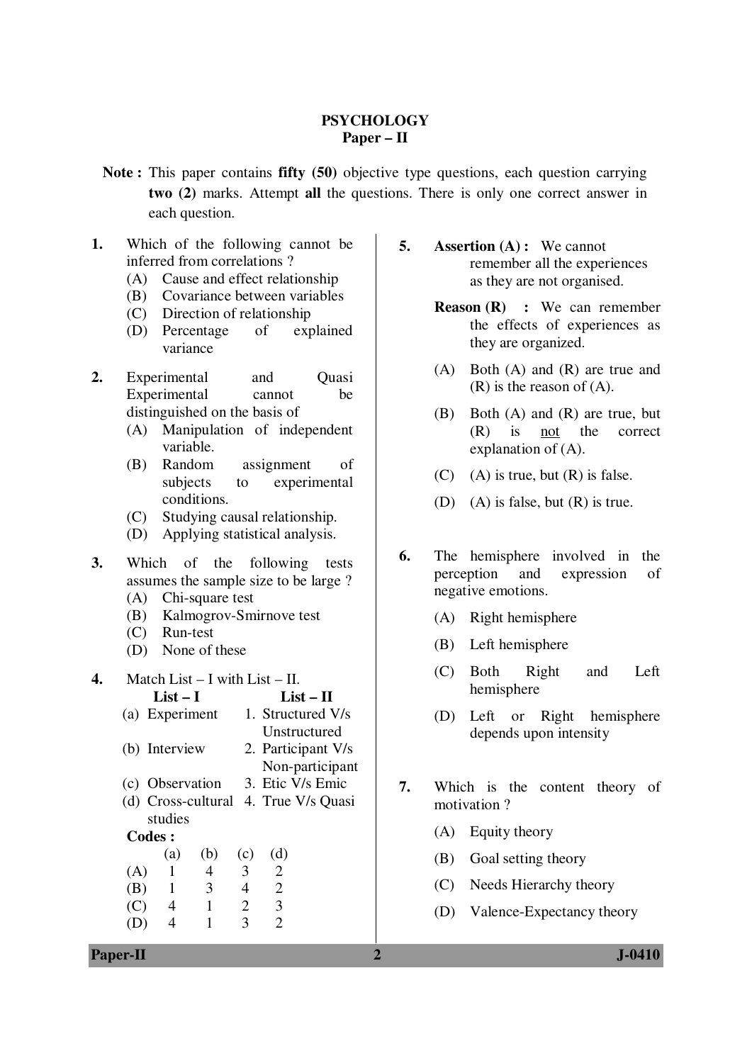## **PSYCHOLOGY Paper – II**

- **Note :** This paper contains **fifty (50)** objective type questions, each question carrying **two (2)** marks. Attempt **all** the questions. There is only one correct answer in each question.
- **1.** Which of the following cannot be inferred from correlations ?
	- (A) Cause and effect relationship
	- (B) Covariance between variables
	- (C) Direction of relationship
	- (D) Percentage of explained variance
- 2. Experimental and Ouasi Experimental cannot be distinguished on the basis of
	- (A) Manipulation of independent variable.
	- (B) Random assignment of subjects to experimental conditions.
	- (C) Studying causal relationship.
	- (D) Applying statistical analysis.
- **3.** Which of the following tests assumes the sample size to be large ?
	- (A) Chi-square test
	- (B) Kalmogrov-Smirnove test
	- (C) Run-test
	- (D) None of these
- **4.** Match List I with List II. **List – I List – II**  (a) Experiment 1. Structured V/s Unstructured (b) Interview 2. Participant V/s Non-participant (c) Observation 3. Etic V/s Emic (d) Cross-cultural 4. True V/s Quasi studies **Codes :** (a) (b) (c) (d)  $(A)$  1 4 3 2 (B) 1 3 4 2 (C) 4 1 2 3 (D) 4 1 3 2
- **5. Assertion (A) :** We cannot remember all the experiences as they are not organised.
	- **Reason (R) :** We can remember the effects of experiences as they are organized.
	- (A) Both (A) and (R) are true and (R) is the reason of (A).
	- (B) Both (A) and (R) are true, but (R) is not the correct explanation of (A).
	- $(C)$  (A) is true, but  $(R)$  is false.
	- (D) (A) is false, but (R) is true.
- **6.** The hemisphere involved in the perception and expression of negative emotions.
	- (A) Right hemisphere
	- (B) Left hemisphere
	- (C) Both Right and Left hemisphere
	- (D) Left or Right hemisphere depends upon intensity
- **7.** Which is the content theory of motivation ?
	- (A) Equity theory
	- (B) Goal setting theory
	- (C) Needs Hierarchy theory
	- (D) Valence-Expectancy theory

**Paper-II 2 J-0410**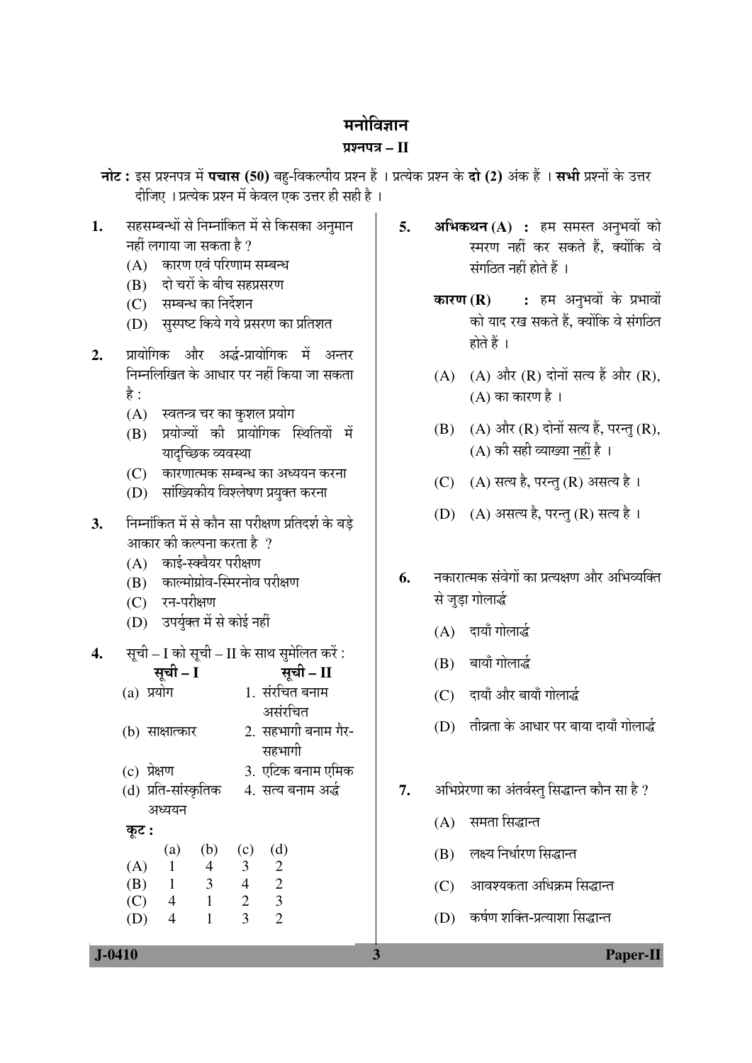## मनोविज्ञान

### ¯ÖÏ¿−Ö¯Ö¡Ö **– II**

−नोट: इस प्रश्नपत्र में पचास (50) बहु-विकल्पीय प्रश्न हैं । प्रत्येक प्रश्न के दो (2) अंक हैं । सभी प्रश्नों के उत्तर दीजिए । प्रत्येक प्रश्न में केवल एक उत्तर ही सही है ।

- 1. सहसम्बन्धों से निम्नांकित में से किसका अनुमान  $-$ नहीं लगाया जा सकता है ?
	- (A) कारण एवं परिणाम सम्बन्ध
	- (B) दो चरों के बीच सहप्रसरण
	- (C) सम्बन्ध का निर्देशन
	- (D) सुस्पष्ट किये गये प्रसरण का प्रतिशत
- 2. प्रायोगिक और अर्द्ध-प्रायोगिक में अन्तर निम्नलिखित के आधार पर नहीं किया जा सकता है :
	- (A) स्वतन्त्र चर का कुशल प्रयोग
	- (B) प्रयोज्यों की प्रायोगिक स्थितियों में यादच्छिक व्यवस्था
	- $(C)$  कारणात्मक सम्बन्ध का अध्ययन करना
	- (D) सांख्यिकीय विश्लेषण प्रयुक्त करना
- 3. Fiम्नॉकित में से कौन सा परीक्षण प्रतिदर्श के बडे आकार की कल्पना करता है  $\,$  ?
	- $(A)$  काई-स्क्वैयर परीक्षण
	- $(B)$  काल्मोग्रोव-स्मिरनोव परीक्षण
	- (C) रन-परीक्षण
	- (D) उपर्युक्त में से कोई नहीं
- **4.** सूची I को सूची II के साथ सुमेलित करें :

| सूची – I             | सूची – II           |
|----------------------|---------------------|
| $(a)$ प्रयोग         | 1. संरचित बनाम      |
|                      | असंरचित             |
| (b) साक्षात्कार      | 2. सहभागी बनाम गैर- |
|                      | सहभागी              |
| $(c)$ प्रेक्षण       | 3. एटिक बनाम एमिक   |
| (d) प्रति-सांस्कृतिक | 4. सत्य बनाम अर्द्ध |
| अध्ययन               |                     |
| कूट :                |                     |
| $(b)$ (c)<br>(a)     | (d)                 |

 $(A)$  1 4 3 2 (B) 1 3 4 2 (C) 4 1 2 3 (D) 4 1 3 2

- **5. अभिकथन (A) :** हम समस्त अनुभवों को स्मरण नहीं कर सकते हैं, क्योंकि वे  $\vec{R}$ मंगठित नहीं होते हैं ।
	- **कारण (R) :** हम अनुभवों के प्रभावों को याद रख सकते हैं, क्योंकि वे संगठित होते हैं ।
	- (A) (A) और (R) दोनों सत्य हैं और (R),  $(A)$  का कारण है।
	- (B) (A) और  $(R)$  दोनों सत्य हैं, परन्तु $(R)$ , (A) की सही व्याख्या नहीं है ।
	- (C) (A) सत्य है, परन्तु (R) असत्य है।
	- (D) (A) असत्य है, परन्तु (R) सत्य है ।
- **6.** − नकारात्मक संवेगों का प्रत्यक्षण और अभिव्यक्ति से जुड़ा गोलार्द्ध
	- (A) दायाँ गोलार्द्ध
	- $(B)$  बायाँ गोलार्द्ध
	- (C) दायाँ और बायाँ गोलार्द्ध
	- $(D)$   $\overline{d}$ विता के आधार पर बाया दायाँ गोलार्द्ध
- 7. ¥अभिप्रेरणा का अंतर्वस्तु सिद्धान्त कौन सा है ?
	- $(A)$  समता सिद्धान्त
	- (B) लक्ष्य निर्धारण सिद्धान्त
	- (C) । आवश्यकता अधिक्रम सिद्धान्त
	- (D) कर्षण शक्ति-प्रत्याशा सिद्धान्त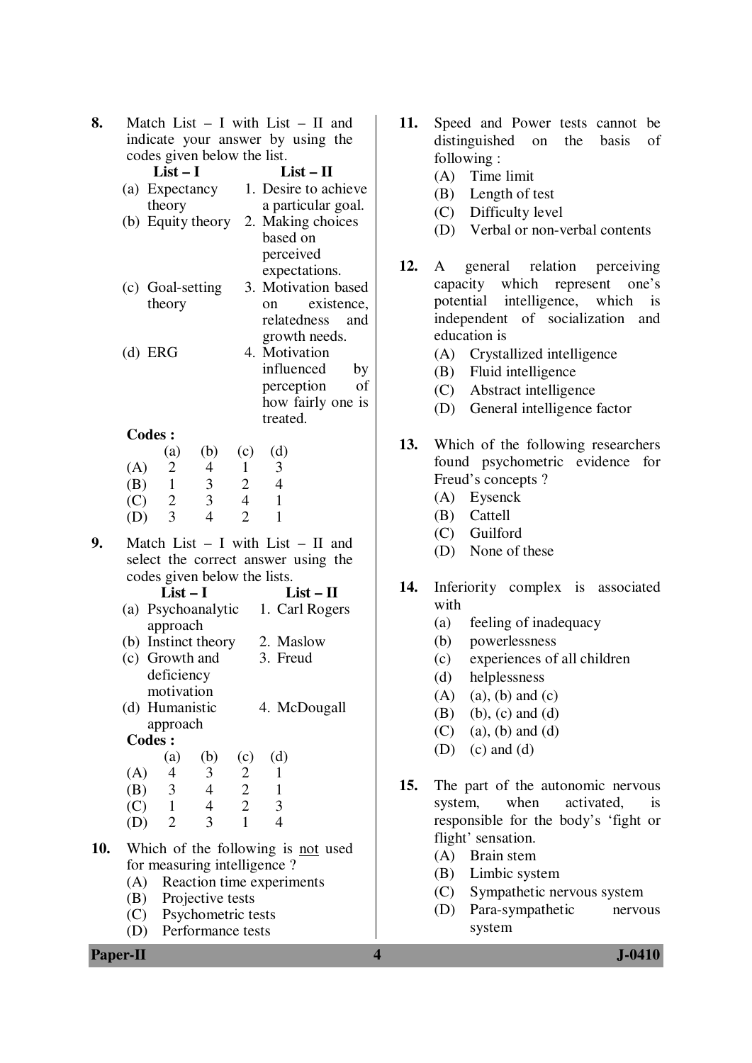| 8.  | Match List $-$ I with List $-$ II and<br>indicate your answer by using the<br>codes given below the list.<br>$List-I$<br>$List - II$                                                                                                                                                                                   | 11. | Speed and Power tests cannot be<br>distinguished<br>basis<br>the<br>on<br>of<br>following:                                                                                                                                                  |
|-----|------------------------------------------------------------------------------------------------------------------------------------------------------------------------------------------------------------------------------------------------------------------------------------------------------------------------|-----|---------------------------------------------------------------------------------------------------------------------------------------------------------------------------------------------------------------------------------------------|
|     | 1. Desire to achieve<br>(a) Expectancy<br>theory<br>a particular goal.<br>(b) Equity theory 2. Making choices<br>based on                                                                                                                                                                                              |     | (A)<br>Time limit<br>(B)<br>Length of test<br>Difficulty level<br>(C)<br>Verbal or non-verbal contents<br>(D)                                                                                                                               |
|     | perceived<br>expectations.<br>3. Motivation based<br>(c) Goal-setting<br>theory<br>existence,<br>on<br>relatedness<br>and<br>growth needs.<br>$(d)$ ERG<br>4. Motivation<br>influenced<br>by<br>of                                                                                                                     | 12. | general relation<br>perceiving<br>A<br>capacity which represent<br>one's<br>intelligence, which<br>potential<br>$-$ is<br>independent of socialization and<br>education is<br>Crystallized intelligence<br>(A)<br>Fluid intelligence<br>(B) |
|     | perception<br>how fairly one is<br>treated.                                                                                                                                                                                                                                                                            |     | Abstract intelligence<br>(C)<br>General intelligence factor<br>(D)                                                                                                                                                                          |
|     | <b>Codes:</b><br>(b)<br>(d)<br>(c)<br>(a)<br>(A)<br>$\overline{2}$<br>3<br>$\overline{4}$<br>$\mathbf{1}$<br>$\mathfrak{Z}$<br>$\mathbf{1}$<br>2<br>$\overline{4}$<br>(B)<br>3<br>$\overline{2}$<br>$\overline{4}$<br>$\mathbf{1}$<br>(C)<br>$\overline{3}$<br>$\overline{2}$<br>$\mathbf{1}$<br>$\overline{4}$<br>(D) | 13. | Which of the following researchers<br>found psychometric evidence for<br>Freud's concepts?<br>Eysenck<br>(A)<br>Cattell<br>(B)                                                                                                              |
| 9.  | Match List $-$ I with List $-$ II and<br>select the correct answer using the<br>codes given below the lists.                                                                                                                                                                                                           |     | Guilford<br>(C)<br>None of these<br>(D)                                                                                                                                                                                                     |
|     | $List-I$<br>$List - II$<br>(a) Psychoanalytic 1. Carl Rogers<br>approach<br>(b) Instinct theory<br>2. Maslow<br>(c) Growth and<br>3. Freud<br>deficiency<br>motivation<br>4. McDougall<br>(d) Humanistic                                                                                                               | 14. | Inferiority complex is associated<br>with<br>feeling of inadequacy<br>(a)<br>(b)<br>powerlessness<br>experiences of all children<br>(c)<br>(d)<br>helplessness<br>(A)<br>$(a)$ , $(b)$ and $(c)$<br>(B)<br>$(b)$ , $(c)$ and $(d)$          |
|     | approach<br>Codes :<br>(d)<br>(a)<br>(b)<br>(c)                                                                                                                                                                                                                                                                        |     | $(a)$ , $(b)$ and $(d)$<br>(C)<br>$(c)$ and $(d)$<br>(D)                                                                                                                                                                                    |
|     | 3<br>(A)<br>$\overline{4}$<br>$\overline{c}$<br>$\mathbf{1}$<br>3 <sup>1</sup><br>$\frac{2}{2}$<br>(B)<br>$\overline{4}$<br>$\mathbf{1}$<br>$\overline{4}$<br>$\mathfrak{Z}$<br>$\mathbf{1}$<br>(C)<br>$\overline{1}$<br>3<br>$\overline{4}$<br>$\overline{2}$<br>(D)                                                  | 15. | The part of the autonomic nervous<br>when<br>activated,<br>system,<br>is<br>responsible for the body's 'fight or                                                                                                                            |
| 10. | Which of the following is not used<br>for measuring intelligence?<br>Reaction time experiments<br>(A)<br>Projective tests<br>(B)<br>Psychometric tests<br>(C)<br>Performance tests<br>(D)                                                                                                                              |     | flight' sensation.<br>Brain stem<br>(A)<br>Limbic system<br>(B)<br>Sympathetic nervous system<br>(C)<br>Para-sympathetic<br>(D)<br>nervous<br>system                                                                                        |
|     | <b>Paper-II</b>                                                                                                                                                                                                                                                                                                        | 4   | $J-0410$                                                                                                                                                                                                                                    |

- **11.** Speed and Power tests cannot be distinguished on the basis of following :
	- (A) Time limit
	- (B) Length of test
	- (C) Difficulty level
	- (D) Verbal or non-verbal contents
- **12.** A general relation perceiving capacity which represent one's potential intelligence, which is independent of socialization and education is
	- (A) Crystallized intelligence
	- (B) Fluid intelligence
	- (C) Abstract intelligence
	- (D) General intelligence factor
- **13.** Which of the following researchers found psychometric evidence for Freud's concepts ?
	- (A) Eysenck
	- (B) Cattell
	- (C) Guilford
	- (D) None of these
- **14.** Inferiority complex is associated with
	- (a) feeling of inadequacy
	- (b) powerlessness
	- (c) experiences of all children
	- (d) helplessness
	- $(A)$   $(a)$ ,  $(b)$  and  $(c)$
	- (B) (b), (c) and (d)
	- $(C)$  (a), (b) and (d)
	- $(D)$  (c) and  $(d)$
- **15.** The part of the autonomic nervous system, when activated, is responsible for the body's 'fight or flight' sensation.
	- (A) Brain stem
	- (B) Limbic system
	- (C) Sympathetic nervous system
	- (D) Para-sympathetic nervous system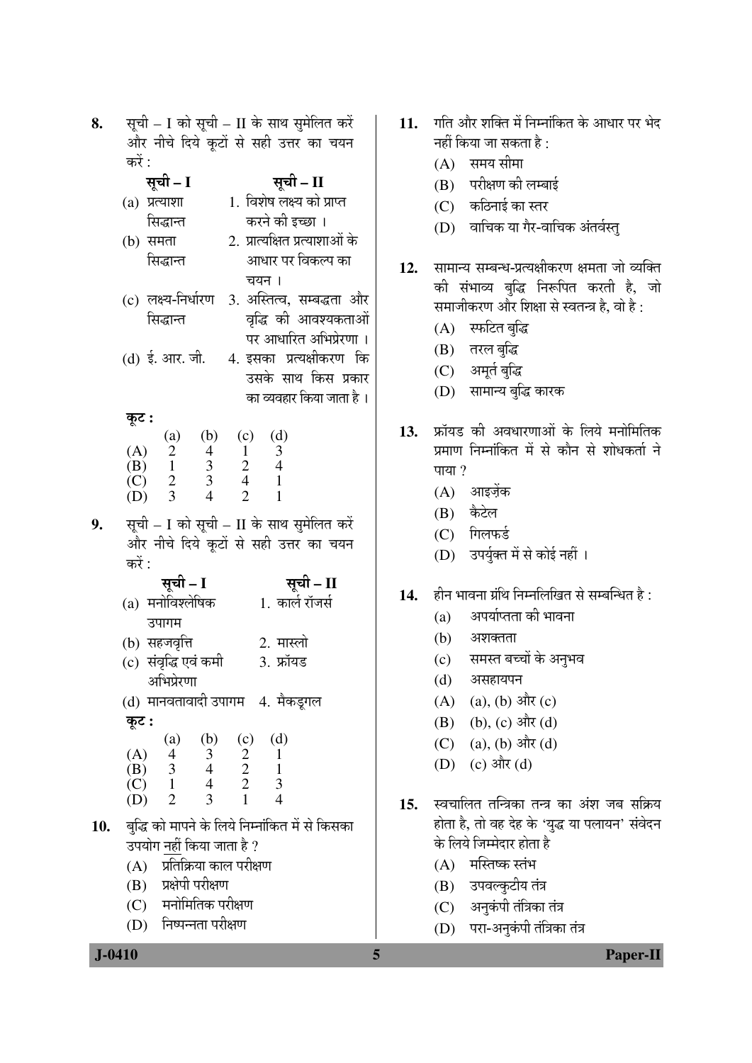| 8.  |                                                                             |                                                 | सूची – I को सूची – II के साथ सुमेलित करें       |
|-----|-----------------------------------------------------------------------------|-------------------------------------------------|-------------------------------------------------|
|     |                                                                             |                                                 | और नीचे दिये कूटों से सही उत्तर का चयन          |
|     | करें :<br>सूची - I                                                          |                                                 |                                                 |
|     | $(a)$ प्रत्याशा                                                             |                                                 | सूची – II<br>1. विशेष लक्ष्य को प्राप्त         |
|     | सिद्धान्त                                                                   |                                                 | करने की इच्छा ।                                 |
|     | $(b)$ समता                                                                  |                                                 | 2. प्रात्यक्षित प्रत्याशाओं के                  |
|     | सिद्धान्त                                                                   |                                                 | आधार पर विकल्प का                               |
|     |                                                                             | चयन ।                                           |                                                 |
|     | (c) लक्ष्य-निर्धारण                                                         |                                                 | 3. अस्तित्व, सम्बद्धता और                       |
|     | सिद्धान्त                                                                   |                                                 | वृद्धि की आवश्यकताओं                            |
|     |                                                                             |                                                 | पर आधारित अभिप्रेरणा ।                          |
|     | (d) ई. आर. जी.                                                              |                                                 | 4. इसका प्रत्यक्षीकरण कि                        |
|     |                                                                             |                                                 | उसके साथ किस प्रकार                             |
|     |                                                                             |                                                 | का व्यवहार किया जाता है ।                       |
|     | कूट :                                                                       |                                                 |                                                 |
|     |                                                                             | (a) (b) (c)<br>2 4 1<br>1 3 2<br>2 3 4<br>3 4 2 | (d)<br>$\overline{\mathbf{3}}$                  |
|     |                                                                             |                                                 | $\overline{4}$                                  |
|     | (A) $\begin{array}{cc} 2 \\ 2 \\ (B) & 1 \\ (C) & 2 \\ (D) & 3 \end{array}$ |                                                 | $\overline{1}$<br>$\mathbf{1}$                  |
|     |                                                                             |                                                 |                                                 |
| 9.  |                                                                             |                                                 | सूची - I को सूची - II के साथ सुमेलित करें       |
|     |                                                                             |                                                 | और नीचे दिये कूटों से सही उत्तर का चयन          |
|     | करें :<br>सूची - I                                                          |                                                 | सूची - II                                       |
|     | (a) मनोविश्लेषिक                                                            |                                                 | 1. कार्ल रॉजर्स                                 |
|     | उपागम                                                                       |                                                 |                                                 |
|     | (b) सहजवृत्ति                                                               |                                                 | 2. मास्लो                                       |
|     | (c) संवृद्धि एवं कमी                                                        |                                                 | 3. फ्रॉयड                                       |
|     | अभिप्रेरणा                                                                  |                                                 |                                                 |
|     | (d) मानवतावादी उपागम   4. मैकडूगल                                           |                                                 |                                                 |
|     | कूट :                                                                       |                                                 |                                                 |
|     | (A) (a) (b) (c)<br>(B) 3 4 2<br>(C) 1 4 2<br>(D) 2 3 1                      |                                                 | (d)                                             |
|     |                                                                             |                                                 | $\begin{array}{c} 1 \\ 1 \\ 3 \\ 4 \end{array}$ |
|     |                                                                             |                                                 |                                                 |
|     |                                                                             |                                                 |                                                 |
| 10. |                                                                             |                                                 | बुद्धि को मापने के लिये निम्नांकित में से किसका |
|     | उपयोग नहीं किया जाता है ?                                                   |                                                 |                                                 |
|     | (A) प्रतिक्रिया काल परीक्षण                                                 |                                                 |                                                 |
|     | (B) प्रक्षेपी परीक्षण                                                       |                                                 |                                                 |
|     | (C) मनोमितिक परीक्षण                                                        |                                                 |                                                 |
|     | (D) निष्पन्नता परीक्षण                                                      |                                                 |                                                 |

- 11. गति और शक्ति में निम्नांकित के आधार पर भेद नहीं किया जा सकता है :
	- $(A)$  समय सीमा
	- (B) परीक्षण की लम्बाई
	- $(C)$  कठिनाई का स्तर
	- (D) वाचिक या गैर-वाचिक अंतर्वस्त्
- 12. सामान्य सम्बन्ध-प्रत्यक्षीकरण क्षमता जो व्यक्ति की संभाव्य बुद्धि निरूपित करती है, जो समाजीकरण और शिक्षा से स्वतन्त्र है, वो है:
	- (A) स्फटित बुद्धि

कि

- (B) तरल बुद्धि
- (C) अमूर्त बुद्धि
- (D) सामान्य बुद्धि कारक
- 13. फ्रॉयड की अवधारणाओं के लिये मनोमितिक प्रमाण निम्नांकित में से कौन से शोधकर्ता ने पाया ?
	- $(A)$  आइजेंक
	- (B) कैटेल
	- $(C)$  गिलफर्ड
	- (D) उपर्युक्त में से कोई नहीं ।
- हीन भावना ग्रंथि निम्नलिखित से सम्बन्धित है : 14.
	- अपर्याप्तता की भावना  $(a)$
	- (b) अशक्तता
	- (c) समस्त बच्चों के अनुभव
	- (d) असहायपन
	- (A) (a), (b) और (c)
	- (B) (b), (c) और (d)
	- (C) (a), (b) और (d)
	- (D) (c) और (d)
- स्वचालित तन्त्रिका तन्त्र का अंश जब सक्रिय  $15.$ होता है, तो वह देह के 'युद्ध या पलायन' संवेदन के लिये जिम्मेदार होता है
	- $(A)$  मस्तिष्क स्तंभ

5

- (B) उपवल्कुटीय तंत्र
- $(C)$  अनुकंपी तंत्रिका तंत्र
- (D) परा-अनुकंपी तंत्रिका तंत्र

## $J - 0410$

Paper-II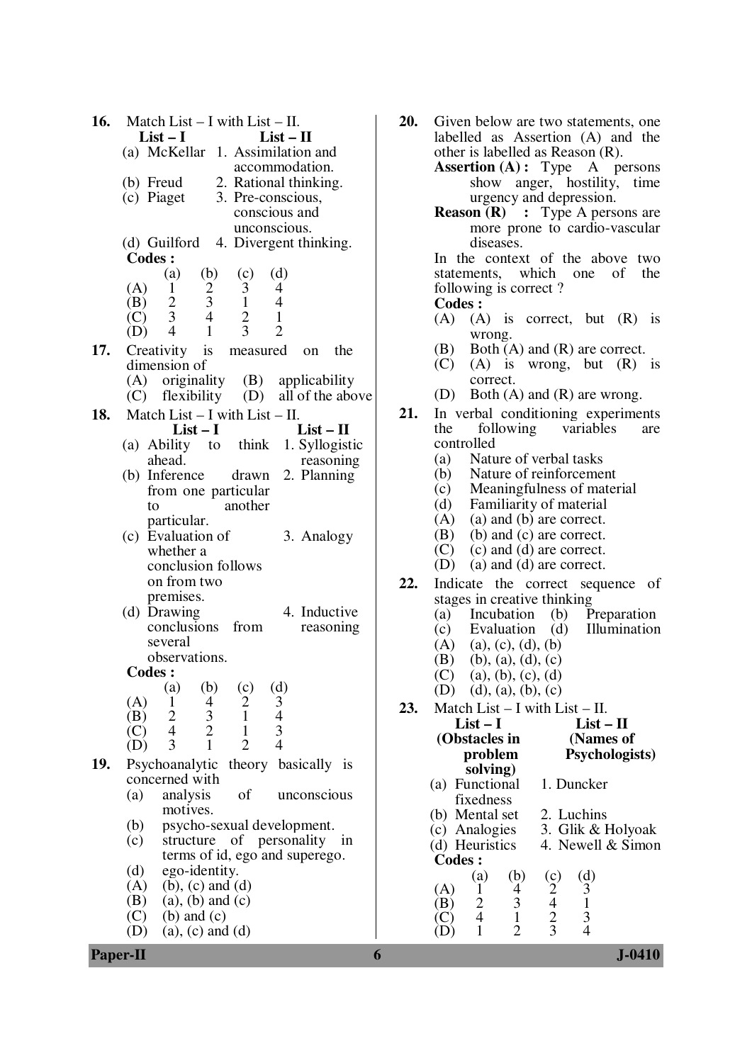| 16. | Match List $-$ I with List $-$ II.                                                                                                      | 20. | Given below are two statements, one                      |
|-----|-----------------------------------------------------------------------------------------------------------------------------------------|-----|----------------------------------------------------------|
|     | $List-I$<br>$List - II$                                                                                                                 |     | labelled as Assertion (A) and the                        |
|     | (a) McKellar 1. Assimilation and                                                                                                        |     | other is labelled as Reason (R).                         |
|     | accommodation.                                                                                                                          |     | <b>Assertion</b> (A): Type A persons                     |
|     | 2. Rational thinking.<br>$(b)$ Freud                                                                                                    |     | show anger, hostility, time                              |
|     | (c) Piaget<br>3. Pre-conscious,                                                                                                         |     | urgency and depression.                                  |
|     | conscious and                                                                                                                           |     | <b>Reason (R)</b> : Type A persons are                   |
|     | unconscious.                                                                                                                            |     | more prone to cardio-vascular                            |
|     | 4. Divergent thinking.<br>(d) Guilford                                                                                                  |     | diseases.                                                |
|     | Codes :                                                                                                                                 |     | In the context of the above two                          |
|     | (d)<br>(a)<br>(b)<br>(c)                                                                                                                |     | statements, which one<br>of<br>the                       |
|     | $\overline{c}$<br>(A)<br>3<br>$\mathbf{1}$<br>4                                                                                         |     | following is correct?                                    |
|     | $\mathfrak{Z}$<br>$\mathbf{1}$<br>$\overline{4}$<br>(B)                                                                                 |     | Codes :                                                  |
|     | $\frac{2}{3}$<br>$\overline{4}$<br>$\mathbf{1}$<br>(C)                                                                                  |     | (A)<br>$(A)$ is correct, but $(R)$ is                    |
|     | $rac{2}{3}$<br>$\overline{2}$<br>$\overline{4}$<br>$\mathbf{1}$<br>(D)                                                                  |     |                                                          |
|     |                                                                                                                                         |     | wrong.                                                   |
| 17. | Creativity is<br>measured<br>the<br>on                                                                                                  |     | Both $(A)$ and $(R)$ are correct.<br>(B)                 |
|     | dimension of                                                                                                                            |     | $(A)$ is wrong, but $(R)$ is<br>(C)                      |
|     | originality<br>(B) applicability<br>(A)                                                                                                 |     | correct.                                                 |
|     | flexibility<br>all of the above<br>(D)<br>(C)                                                                                           |     | Both $(A)$ and $(R)$ are wrong.<br>(D)                   |
| 18. | Match List $- I$ with List $- II$ .                                                                                                     | 21. | In verbal conditioning experiments                       |
|     | $List - II$<br>$List-I$                                                                                                                 |     | following variables<br>the<br>are                        |
|     | (a) Ability to think 1. Syllogistic                                                                                                     |     | controlled                                               |
|     | ahead.<br>reasoning                                                                                                                     |     | Nature of verbal tasks<br>(a)                            |
|     | 2. Planning<br>(b) Inference<br>drawn                                                                                                   |     | Nature of reinforcement<br>(b)                           |
|     | from one particular                                                                                                                     |     | Meaningfulness of material<br>(c)                        |
|     | another<br>to                                                                                                                           |     | Familiarity of material<br>(d)                           |
|     | particular.                                                                                                                             |     | (A)<br>(a) and (b) are correct.                          |
|     | (c) Evaluation of<br>3. Analogy                                                                                                         |     | (b) and (c) are correct.<br>(B)                          |
|     | whether a                                                                                                                               |     | (c) and (d) are correct.<br>(C)                          |
|     | conclusion follows                                                                                                                      |     | (a) and (d) are correct.<br>(D)                          |
|     | on from two                                                                                                                             | 22. |                                                          |
|     | premises.                                                                                                                               |     | Indicate the correct sequence of                         |
|     | 4. Inductive<br>(d) Drawing                                                                                                             |     | stages in creative thinking                              |
|     | conclusions from<br>reasoning                                                                                                           |     | Incubation<br>(b) Preparation<br>(a)                     |
|     | several                                                                                                                                 |     | Evaluation<br>(d)<br>Illumination<br>(c)                 |
|     | observations.                                                                                                                           |     | (A)<br>(a), (c), (d), (b)                                |
|     | <b>Codes:</b>                                                                                                                           |     | (B)<br>$(b)$ , (a), (d), (c)                             |
|     |                                                                                                                                         |     | (C)<br>(a), (b), (c), (d)                                |
|     | (b)<br>(c)<br>(d)<br>$\left( a\right)$                                                                                                  |     | (d), (a), (b), (c)<br>(D)                                |
|     | $\frac{2}{1}$<br>$\begin{array}{c} 4 \\ 3 \\ 2 \end{array}$<br>$\begin{array}{c} 3 \\ 4 \\ 3 \end{array}$<br>(A)<br>$\mathbf{1}$<br>(B) | 23. | Match List $-$ I with List $-$ II.                       |
|     | $\frac{2}{4}$<br>$\mathbf{1}$<br>(C)                                                                                                    |     | $List-I$<br>$List - II$                                  |
|     | 3<br>$\overline{2}$<br>$\overline{4}$<br>$\mathbf{1}$<br>(D)                                                                            |     | (Obstacles in<br>(Names of                               |
|     |                                                                                                                                         |     | problem<br>Psychologists)                                |
| 19. | Psychoanalytic theory basically is                                                                                                      |     | solving)                                                 |
|     | concerned with                                                                                                                          |     | (a) Functional<br>1. Duncker                             |
|     | of<br>analysis<br>unconscious<br>(a)                                                                                                    |     | fixedness                                                |
|     | motives.                                                                                                                                |     | (b) Mental set<br>2. Luchins                             |
|     | psycho-sexual development.<br>(b)                                                                                                       |     | (c) Analogies<br>3. Glik & Holyoak                       |
|     | structure of personality in<br>(c)                                                                                                      |     | (d) Heuristics<br>4. Newell & Simon                      |
|     | terms of id, ego and superego.                                                                                                          |     | <b>Codes:</b>                                            |
|     | (d)<br>ego-identity.                                                                                                                    |     | (d)<br>(a)<br>(b)                                        |
|     | $(b)$ , $(c)$ and $(d)$<br>(A)                                                                                                          |     | $\mathfrak{Z}$<br>(A)<br>$\overline{4}$<br>1             |
|     | (B)<br>$(a)$ , $(b)$ and $(c)$                                                                                                          |     | $\frac{3}{1}$<br>$\frac{2}{4}$<br>$\mathbf 1$<br>(B)     |
|     | $(b)$ and $(c)$<br>(C)                                                                                                                  |     | (c) $\frac{2}{4}$ $\frac{4}{3}$<br>$\overline{3}$<br>(C) |
|     | (D)<br>$(a)$ , $(c)$ and $(d)$                                                                                                          |     | $\mathbf{1}$<br>$\overline{2}$<br>$\overline{4}$<br>(D)  |
|     | <b>Paper-II</b>                                                                                                                         | 6   | $J - 0410$                                               |
|     |                                                                                                                                         |     |                                                          |

| 20. |                                                                     |                              |                | Given below are two statements, one<br>labelled as Assertion (A) and the |  |  |
|-----|---------------------------------------------------------------------|------------------------------|----------------|--------------------------------------------------------------------------|--|--|
|     |                                                                     |                              |                | other is labelled as Reason (R).                                         |  |  |
|     | <b>Assertion</b> (A): Type A persons<br>show anger, hostility, time |                              |                |                                                                          |  |  |
|     |                                                                     |                              |                | urgency and depression.                                                  |  |  |
|     |                                                                     |                              |                | <b>Reason (R)</b> : Type A persons are                                   |  |  |
|     |                                                                     |                              |                | more prone to cardio-vascular                                            |  |  |
|     |                                                                     | diseases.                    |                | In the context of the above two                                          |  |  |
|     |                                                                     |                              |                | statements, which one of the                                             |  |  |
|     | following is correct?                                               |                              |                |                                                                          |  |  |
|     | <b>Codes:</b>                                                       |                              |                |                                                                          |  |  |
|     |                                                                     | wrong.                       |                | $(A)$ $(A)$ is correct, but $(R)$<br>is                                  |  |  |
|     |                                                                     |                              |                | $(B)$ Both $(A)$ and $(R)$ are correct.                                  |  |  |
|     |                                                                     |                              |                | $(C)$ $(A)$ is wrong, but $(R)$ is                                       |  |  |
|     |                                                                     | correct.                     |                |                                                                          |  |  |
|     | (D)                                                                 |                              |                | Both $(A)$ and $(R)$ are wrong.                                          |  |  |
| 21. |                                                                     |                              |                | In verbal conditioning experiments                                       |  |  |
|     | the                                                                 |                              |                | following variables<br>are                                               |  |  |
|     | controlled                                                          |                              |                |                                                                          |  |  |
|     | (a) Nature of verbal tasks<br>(b) Nature of reinforcement           |                              |                |                                                                          |  |  |
|     |                                                                     |                              |                | (c) Meaningfulness of material                                           |  |  |
|     | (d) Familiarity of material                                         |                              |                |                                                                          |  |  |
|     | $(A)$ (a) and (b) are correct.                                      |                              |                |                                                                          |  |  |
|     | $(B)$ (b) and (c) are correct.                                      |                              |                |                                                                          |  |  |
|     | $(C)$ (c) and (d) are correct.                                      |                              |                |                                                                          |  |  |
|     | (D)                                                                 | $(a)$ and $(d)$ are correct. |                |                                                                          |  |  |
| 22. |                                                                     |                              |                | Indicate the correct sequence of                                         |  |  |
|     | stages in creative thinking                                         |                              |                |                                                                          |  |  |
|     | (a)                                                                 |                              |                | Incubation (b) Preparation                                               |  |  |
|     | (A) (a), (c), (d), (b)                                              |                              |                | (c) Evaluation (d) Illumination                                          |  |  |
|     | $(B)$ (b), (a), (d), (c)                                            |                              |                |                                                                          |  |  |
|     | (C) (a), (b), (c), (d)                                              |                              |                |                                                                          |  |  |
|     | (D) (d), (a), (b), (c)                                              |                              |                |                                                                          |  |  |
| 23. | Match List $- I$ with List $- II$ .                                 |                              |                |                                                                          |  |  |
|     | $List-I$                                                            |                              |                | $List - II$                                                              |  |  |
|     | (Obstacles in                                                       | problem                      |                | (Names of<br><b>Psychologists</b> )                                      |  |  |
|     |                                                                     | solving)                     |                |                                                                          |  |  |
|     | (a) Functional                                                      |                              |                | 1. Duncker                                                               |  |  |
|     | fixedness<br>(b) Mental set                                         |                              |                | 2. Luchins                                                               |  |  |
|     | (c) Analogies                                                       |                              |                | 3. Glik & Holyoak                                                        |  |  |
|     | (d) Heuristics                                                      |                              |                | 4. Newell & Simon                                                        |  |  |
|     | <b>Codes:</b>                                                       |                              |                |                                                                          |  |  |
|     | (a)                                                                 | (b)                          | $\binom{c}{2}$ | $\left(\frac{d}{d}\right)$                                               |  |  |
|     | (A)<br>1                                                            | 4                            |                | 3                                                                        |  |  |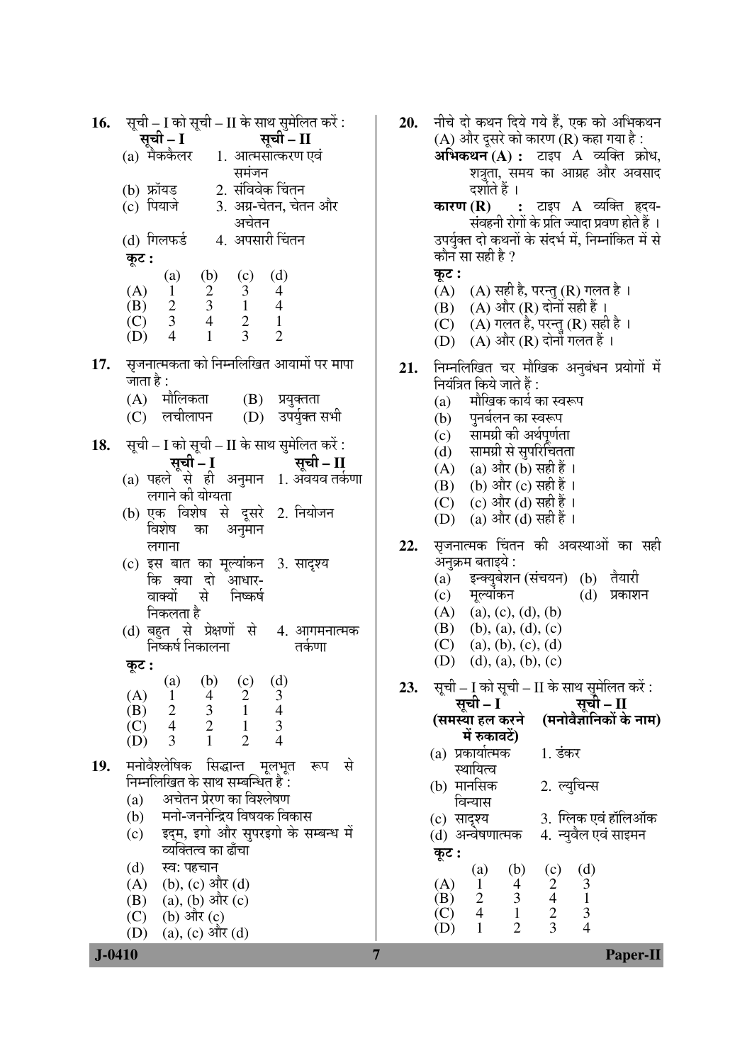| 16. | सूची – I को सूची – II के साथ सुमेलित करें :                                                               |
|-----|-----------------------------------------------------------------------------------------------------------|
|     | सूची - II<br>सूची – I                                                                                     |
|     | (a) मैककैलर 1. आत्मसात्करण एवं                                                                            |
|     | समंजन                                                                                                     |
|     | (b) फ्रॉयड          2. संविवेक चिंतन<br>(c) पियाजे          3. अग्र-चेतन, चेत                             |
|     | 3. अग्र-चेतन, चेतन और                                                                                     |
|     | अचेतन                                                                                                     |
|     | (d) गिलफर्ड 4. अपसारी चिंतन                                                                               |
|     | कूट :                                                                                                     |
|     |                                                                                                           |
|     |                                                                                                           |
|     |                                                                                                           |
|     |                                                                                                           |
|     | (A) (a) (b) (c) (d)<br>(A) 1 2 3 4<br>(B) 2 3 1 4<br>(C) 3 4 2 1<br>(D) 4 1 3 2                           |
|     |                                                                                                           |
|     | 17. सृजनात्मकता को निम्नलिखित आयामों पर मापा                                                              |
|     | जाता है :                                                                                                 |
|     | (A) मौलिकता (B) प्रयुक्तता                                                                                |
|     | (D) उपर्युक्त सभी<br>(C) लचीलापन                                                                          |
|     |                                                                                                           |
|     | 18. सूची – I को सूची – II के साथ सुमेलित करें :                                                           |
|     |                                                                                                           |
|     |                                                                                                           |
|     | लगाने की योग्यता                                                                                          |
|     | (b) एक विशेष से दूसरे 2. नियोजन                                                                           |
|     | विशेष का अनुमान                                                                                           |
|     | लगाना                                                                                                     |
|     | (c) इस बात का मूल्यांकन 3. सादृश्य                                                                        |
|     | कि क्या दो आधार-                                                                                          |
|     | वाक्यों से निष्कर्ष<br>निकलता है                                                                          |
|     |                                                                                                           |
|     | (d) बहुत से प्रेक्षणों से 4. आगमनात्मक<br>निष्कर्ष निकालना<br>तर्कणा                                      |
|     |                                                                                                           |
|     | कूट :                                                                                                     |
|     | (a) (b) (c) (d)                                                                                           |
|     |                                                                                                           |
|     | $\begin{array}{c} 4 \\ 3 \\ 2 \end{array}$<br>$\begin{array}{c} 2 \\ 1 \\ 1 \end{array}$<br>$\frac{3}{4}$ |
|     | $\mathbf{1}$<br>$\overline{2}$<br>$\overline{4}$                                                          |
|     | (d) $\frac{1}{2}$<br>(c) $\frac{4}{2}$<br>(D) $\frac{5}{2}$                                               |
| 19. | मनोवैश्लेषिक सिद्धान्त मूलभूत<br>से<br>रूप                                                                |
|     | निम्नलिखित के साथ सम्बन्धित हैं :                                                                         |
|     | अचेतन प्रेरण का विश्लेषण<br>(a)                                                                           |
|     | मनो-जननेन्द्रिय विषयक विकास<br>(b)                                                                        |
|     | इद्म, इगो और सुपरइगो के सम्बन्ध में<br>(c)                                                                |
|     | व्यक्तित्व का ढाँचा                                                                                       |
|     | स्व: पहचान<br>(d)                                                                                         |
|     | (A) (b), (c) और (d)                                                                                       |
|     | (B) (a), (b) और (c)                                                                                       |
|     | $(C)$ (b) और $(c)$                                                                                        |
|     | (a), (c) और (d)<br>(D)                                                                                    |

 $\overline{7}$ 

 $J - 0410$ 

नीचे दो कथन दिये गये हैं, एक को अभिकथन **20.** (A) और दूसरे को कारण (R) कहा गया है : अभिकथन $(A)$ : टाइप  $A$  व्यक्ति क्रोध, शत्रता, समय का आग्रह और अवसाद दर्शाते हैं । कारण $(R)$ : टाइप A व्यक्ति हृदय-संवहनी रोगों के प्रति ज्यादा प्रवण होते हैं । उपर्युक्त दो कथनों के संदर्भ में, निम्नांकित में से कौन सा सही है ? कट :  $(A)$   $(A)$  सही है, परन्तु  $(R)$  गलत है । (B) (A) और (R) दोनों सही हैं। (C) (A) गलत है, परन्तु (R) सही है । (D) (A) और (R) दोनों गलत हैं। निम्नलिखित चर मौखिक अनुबंधन प्रयोगों में 21. नियंत्रित किये जाते हैं : मौखिक कार्य का स्वरूप  $(a)$ पुनर्बलन का स्वरूप  $(b)$ सामग्री की अर्थपर्णता  $(c)$ सामग्री से सुपरिचितता  $(d)$ (A) (a) और (b) सही हैं । (B) (b) और (c) सही हैं । (C) (c) और (d) सही हैं ।  $(D)$ (a) और (d) सही हैं । 22. सजनात्मक चिंतन की अवस्थाओं का सही अनक्रम बताइये : इन्क्युबेशन (संचयन) (b) तैयारी  $(a)$  $(d)$  प्रकाशन  $(c)$ मूल्यांकन  $(A)$  (a), (c), (d), (b) (B) (b), (a), (d), (c)  $(C)$  (a), (b), (c), (d) (D) (d), (a), (b), (c) 23. सूची – I को सूची – II के साथ सुमेलित करें : सची – I सची – II (समस्या हल करने (मनोवैज्ञानिकों के नाम) में रुकावटें) (a) प्रकार्यात्मक  $1.$  डंकर स्थायित्व (b) मानसिक 2. ल्युचिन्स विन्यास (c) सादृश्य 3. ग्लिक एवं हॉलिऑक 4. न्यूवैल एवं साइमन (d) अन्वेषणात्मक कट :  $\binom{c}{2}$  $(b)$  $(d)$  $\left( a\right)$  $\mathfrak{Z}$  $(A)$  $\mathbf{1}$  $\overline{4}$  $\overline{4}$  $\overline{2}$ 3  $\mathbf{1}$ (B)  $\frac{2}{3}$  $\zeta$  $\overline{4}$  $\mathbf{1}$ 3  $\mathbf{1}$  $\overline{2}$  $\overline{4}$ (D)

**Paper-II**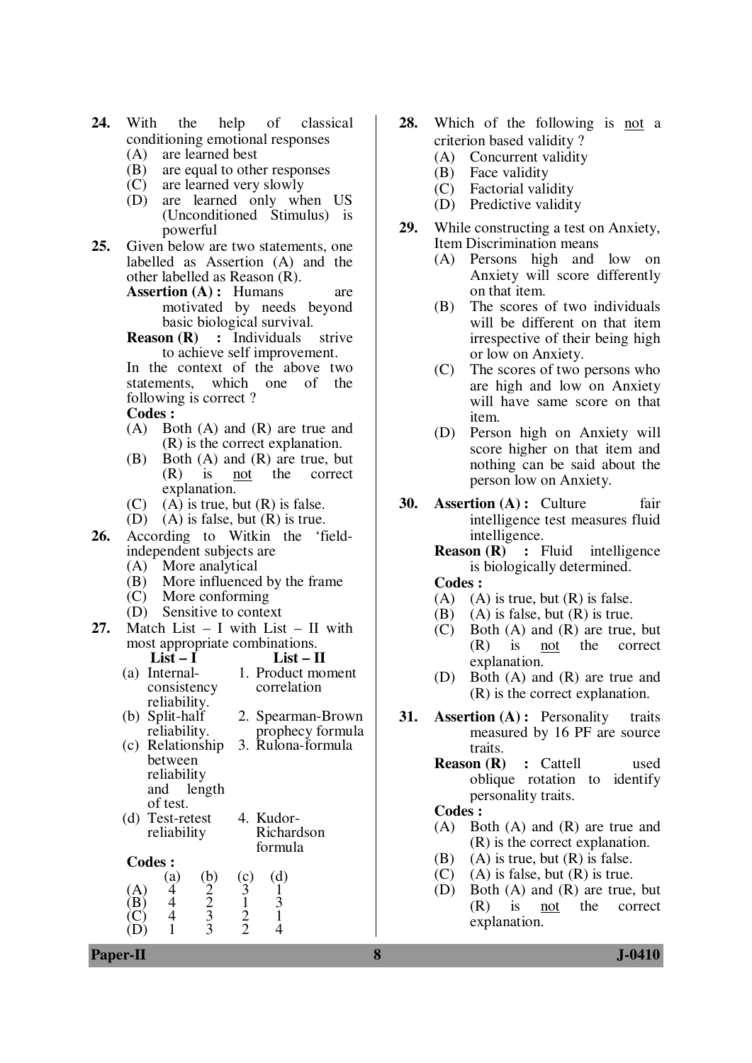- **24.** With the help of classical conditioning emotional responses
	- (A) are learned best
	- (B) are equal to other responses<br>(C) are learned very slowly
	- (C) are learned very slowly<br>(D) are learned only wh
	- are learned only when US (Unconditioned Stimulus) is powerful
- **25.** Given below are two statements, one labelled as Assertion (A) and the other labelled as Reason (R).
	- **Assertion (A) :** Humans are motivated by needs beyond basic biological survival.
	- **Reason (R) :** Individuals strive to achieve self improvement.

 In the context of the above two statements, which one of the following is correct ?

**Codes :** 

- (A) Both (A) and (R) are true and (R) is the correct explanation.
- (B) Both (A) and (R) are true, but (R) is not the correct explanation.
- $(C)$  (A) is true, but  $(R)$  is false.
- (D) (A) is false, but (R) is true.
- **26.** According to Witkin the 'fieldindependent subjects are
	- (A) More analytical
	- (B) More influenced by the frame
	- (C) More conforming
	- (D) Sensitive to context
- **27.** Match List I with List II with most appropriate combinations.<br>List  $- I$  List  $- I$ 
	- List II (a) Internalconsistency 1. Product moment correlation
	- reliability. (b) Split-half reliability. 2. Spearman-Brown prophecy formula (c) Relationship between reliability and length 3. Rulona-formula
		- of test.
	- (d) Test-retest reliability 4. Kudor-Richardson formula
	- **Codes :**

|                          | (a) | $\mathbf{b}$ | $^{\prime}$ c) | d) |  |
|--------------------------|-----|--------------|----------------|----|--|
| íΔ                       |     | ◠            |                |    |  |
| $\overleftrightarrow{B}$ |     | י ׳          |                |    |  |
| $\sim$                   |     |              | $\rightarrow$  |    |  |
|                          |     |              | - 1            |    |  |

- **28.** Which of the following is not a criterion based validity ?
	- (A) Concurrent validity
	- (B) Face validity
	- (C) Factorial validity
	- (D) Predictive validity
- **29.** While constructing a test on Anxiety, Item Discrimination means
	- (A) Persons high and low on Anxiety will score differently on that item.
	- (B) The scores of two individuals will be different on that item irrespective of their being high or low on Anxiety.
	- (C) The scores of two persons who are high and low on Anxiety will have same score on that item.
	- (D) Person high on Anxiety will score higher on that item and nothing can be said about the person low on Anxiety.
- **30. Assertion (A) :** Culture fair intelligence test measures fluid intelligence.
	- **Reason (R) :** Fluid intelligence is biologically determined.  **Codes :** 
		-
	- (A) (A) is true, but  $(R)$  is false.<br>(B) (A) is false, but  $(R)$  is true.
	- $(A)$  is false, but  $(R)$  is true.
	- (C) Both (A) and (R) are true, but<br>(R) is not the correct is not the correct explanation.
	- (D) Both (A) and (R) are true and (R) is the correct explanation.
- **31. Assertion (A) :** Personality traits measured by 16 PF are source traits.
	- **Reason (R) : Cattell used** oblique rotation to identify personality traits.

#### **Codes :**

- (A) Both (A) and (R) are true and (R) is the correct explanation.
- (B) (A) is true, but  $(R)$  is false.
- $(C)$  (A) is false, but  $(R)$  is true.
- (D) Both (A) and (R) are true, but<br>(R) is not the correct (R) is not the correct explanation.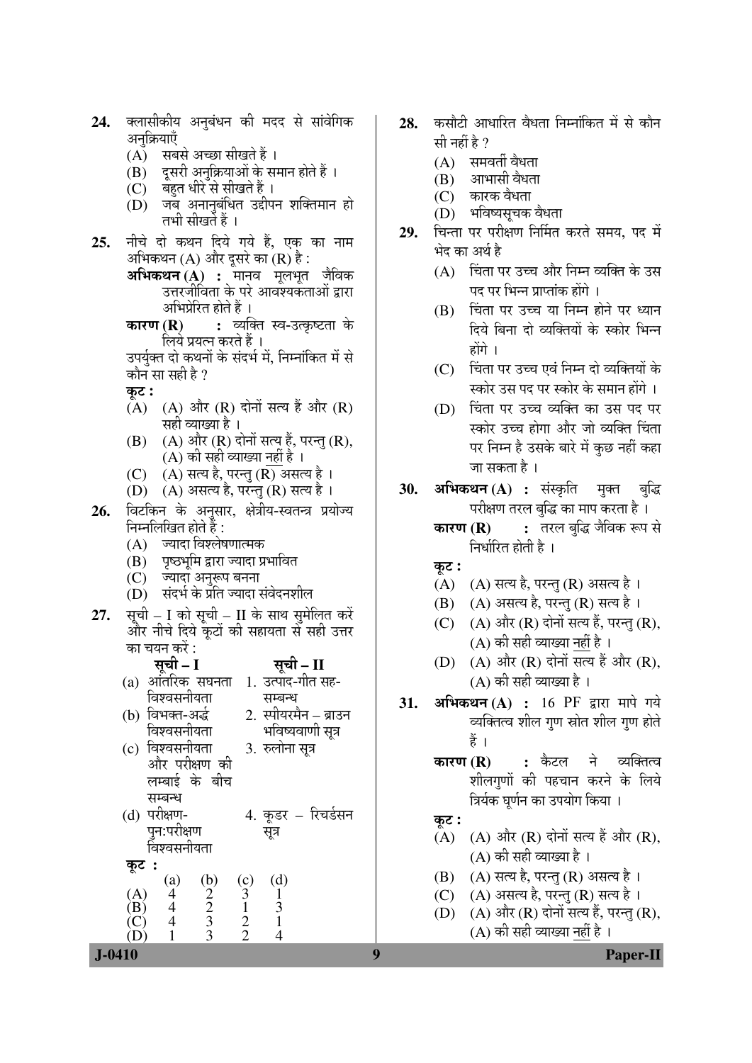| (A) सबसे अच्छा सीखते हैं ।<br>(B) दूसरी अनुक्रियाओं के समान होते हैं ।<br>(C) बहुत धीरे से सीखते हैं ।<br>(D)  जब अनानुबंधित उद्दीपन शक्तिमान हो<br>तभी सीखर्ते हैं ।<br>नीचे दो कथन दिये गये हैं, एक का नाम<br>25.<br>अभिकथन (A) और दूसरे का (R) है :<br><b>अभिकथन (A) :</b> मानव मूलभूत जैविक<br>उत्तरजीविता के परे आवश्यकताओं द्वारा<br>अभिप्रेरित होते हैं ।<br><b>कारण (R) :</b> व्यक्ति स्व-उत्कृष्टता के<br>लिये प्रयत्न करते हैं ।<br>उपर्युक्त दो कथनों के संदर्भ में, निम्नांकित में से<br>कौन सा सही है ?<br>कूट :<br>(A) (A) और (R) दोनों सत्य हैं और (R)<br>सही व्याख्या है ।<br>(B) (A) और (R) दोनों सत्य हैं, परन्तु (R),<br>(A) की सही व्याख्या <u>नहीं</u> है ।<br>$(C)$ $(A)$ सत्य है, परन्तु (R) असत्य है।<br>(D) (A) असत्य है, परन्तु (R) सत्य है।<br>विटकिन के अनुसार, क्षेत्रीय-स्वतन्त्र प्रयोज्य<br>26.<br>निम्नलिखित होते हैं :<br>(A) ज्यादा विश्लेषणात्मक<br>(B) पृष्ठभूमि द्वारा ज्यादा प्रभावित<br>(C) ज्यादा अनुरूप बनना<br>(D) संदर्भ के प्रति ज्यादा संवेदनशील<br>सूची – I को सूची – II के साथ सुमेलित करें<br>27.<br>और नीचे दिये कूटों की सहायता से सही उत्तर<br>का चयन करें :<br>सूची – I<br>सूची - II<br>(a) आंतरिक सघनता  1. उत्पाद-गीत सह-<br>विश्वसनीयता<br>सम्बन्ध<br>2. स्पीयरमैन – ब्राउन<br>(b) विभक्त-अर्द्ध<br>भविष्यवाणी सूत्र<br>विश्वसनीयता<br>(c) विश्वसनीयता<br>3. रुलोना सूत्र<br>और परीक्षण की<br>लम्बाई के बीच<br>सम्बन्ध<br>(d) परीक्षण-<br>4. कूडर – रिचर्डसन<br>पून:परीक्षण<br>सूत्र<br>विश्वसनीयता | 24. | पलासाफाय अनुषयन का मदद स सावागक<br>अनुक्रियाएँ |
|-------------------------------------------------------------------------------------------------------------------------------------------------------------------------------------------------------------------------------------------------------------------------------------------------------------------------------------------------------------------------------------------------------------------------------------------------------------------------------------------------------------------------------------------------------------------------------------------------------------------------------------------------------------------------------------------------------------------------------------------------------------------------------------------------------------------------------------------------------------------------------------------------------------------------------------------------------------------------------------------------------------------------------------------------------------------------------------------------------------------------------------------------------------------------------------------------------------------------------------------------------------------------------------------------------------------------------------------------------------------------------------------------------------------------------------------------------------|-----|------------------------------------------------|
|                                                                                                                                                                                                                                                                                                                                                                                                                                                                                                                                                                                                                                                                                                                                                                                                                                                                                                                                                                                                                                                                                                                                                                                                                                                                                                                                                                                                                                                             |     |                                                |
|                                                                                                                                                                                                                                                                                                                                                                                                                                                                                                                                                                                                                                                                                                                                                                                                                                                                                                                                                                                                                                                                                                                                                                                                                                                                                                                                                                                                                                                             |     |                                                |
|                                                                                                                                                                                                                                                                                                                                                                                                                                                                                                                                                                                                                                                                                                                                                                                                                                                                                                                                                                                                                                                                                                                                                                                                                                                                                                                                                                                                                                                             |     |                                                |
|                                                                                                                                                                                                                                                                                                                                                                                                                                                                                                                                                                                                                                                                                                                                                                                                                                                                                                                                                                                                                                                                                                                                                                                                                                                                                                                                                                                                                                                             |     |                                                |
|                                                                                                                                                                                                                                                                                                                                                                                                                                                                                                                                                                                                                                                                                                                                                                                                                                                                                                                                                                                                                                                                                                                                                                                                                                                                                                                                                                                                                                                             |     |                                                |
|                                                                                                                                                                                                                                                                                                                                                                                                                                                                                                                                                                                                                                                                                                                                                                                                                                                                                                                                                                                                                                                                                                                                                                                                                                                                                                                                                                                                                                                             |     |                                                |
|                                                                                                                                                                                                                                                                                                                                                                                                                                                                                                                                                                                                                                                                                                                                                                                                                                                                                                                                                                                                                                                                                                                                                                                                                                                                                                                                                                                                                                                             |     |                                                |
|                                                                                                                                                                                                                                                                                                                                                                                                                                                                                                                                                                                                                                                                                                                                                                                                                                                                                                                                                                                                                                                                                                                                                                                                                                                                                                                                                                                                                                                             |     |                                                |
|                                                                                                                                                                                                                                                                                                                                                                                                                                                                                                                                                                                                                                                                                                                                                                                                                                                                                                                                                                                                                                                                                                                                                                                                                                                                                                                                                                                                                                                             |     |                                                |
|                                                                                                                                                                                                                                                                                                                                                                                                                                                                                                                                                                                                                                                                                                                                                                                                                                                                                                                                                                                                                                                                                                                                                                                                                                                                                                                                                                                                                                                             |     |                                                |
|                                                                                                                                                                                                                                                                                                                                                                                                                                                                                                                                                                                                                                                                                                                                                                                                                                                                                                                                                                                                                                                                                                                                                                                                                                                                                                                                                                                                                                                             |     |                                                |
|                                                                                                                                                                                                                                                                                                                                                                                                                                                                                                                                                                                                                                                                                                                                                                                                                                                                                                                                                                                                                                                                                                                                                                                                                                                                                                                                                                                                                                                             |     |                                                |
|                                                                                                                                                                                                                                                                                                                                                                                                                                                                                                                                                                                                                                                                                                                                                                                                                                                                                                                                                                                                                                                                                                                                                                                                                                                                                                                                                                                                                                                             |     |                                                |
|                                                                                                                                                                                                                                                                                                                                                                                                                                                                                                                                                                                                                                                                                                                                                                                                                                                                                                                                                                                                                                                                                                                                                                                                                                                                                                                                                                                                                                                             |     |                                                |
|                                                                                                                                                                                                                                                                                                                                                                                                                                                                                                                                                                                                                                                                                                                                                                                                                                                                                                                                                                                                                                                                                                                                                                                                                                                                                                                                                                                                                                                             |     |                                                |
|                                                                                                                                                                                                                                                                                                                                                                                                                                                                                                                                                                                                                                                                                                                                                                                                                                                                                                                                                                                                                                                                                                                                                                                                                                                                                                                                                                                                                                                             |     |                                                |
|                                                                                                                                                                                                                                                                                                                                                                                                                                                                                                                                                                                                                                                                                                                                                                                                                                                                                                                                                                                                                                                                                                                                                                                                                                                                                                                                                                                                                                                             |     |                                                |
|                                                                                                                                                                                                                                                                                                                                                                                                                                                                                                                                                                                                                                                                                                                                                                                                                                                                                                                                                                                                                                                                                                                                                                                                                                                                                                                                                                                                                                                             |     |                                                |
|                                                                                                                                                                                                                                                                                                                                                                                                                                                                                                                                                                                                                                                                                                                                                                                                                                                                                                                                                                                                                                                                                                                                                                                                                                                                                                                                                                                                                                                             |     |                                                |
|                                                                                                                                                                                                                                                                                                                                                                                                                                                                                                                                                                                                                                                                                                                                                                                                                                                                                                                                                                                                                                                                                                                                                                                                                                                                                                                                                                                                                                                             |     |                                                |
|                                                                                                                                                                                                                                                                                                                                                                                                                                                                                                                                                                                                                                                                                                                                                                                                                                                                                                                                                                                                                                                                                                                                                                                                                                                                                                                                                                                                                                                             |     |                                                |
|                                                                                                                                                                                                                                                                                                                                                                                                                                                                                                                                                                                                                                                                                                                                                                                                                                                                                                                                                                                                                                                                                                                                                                                                                                                                                                                                                                                                                                                             |     |                                                |
|                                                                                                                                                                                                                                                                                                                                                                                                                                                                                                                                                                                                                                                                                                                                                                                                                                                                                                                                                                                                                                                                                                                                                                                                                                                                                                                                                                                                                                                             |     |                                                |
|                                                                                                                                                                                                                                                                                                                                                                                                                                                                                                                                                                                                                                                                                                                                                                                                                                                                                                                                                                                                                                                                                                                                                                                                                                                                                                                                                                                                                                                             |     |                                                |
|                                                                                                                                                                                                                                                                                                                                                                                                                                                                                                                                                                                                                                                                                                                                                                                                                                                                                                                                                                                                                                                                                                                                                                                                                                                                                                                                                                                                                                                             |     |                                                |
|                                                                                                                                                                                                                                                                                                                                                                                                                                                                                                                                                                                                                                                                                                                                                                                                                                                                                                                                                                                                                                                                                                                                                                                                                                                                                                                                                                                                                                                             |     |                                                |
|                                                                                                                                                                                                                                                                                                                                                                                                                                                                                                                                                                                                                                                                                                                                                                                                                                                                                                                                                                                                                                                                                                                                                                                                                                                                                                                                                                                                                                                             |     |                                                |
|                                                                                                                                                                                                                                                                                                                                                                                                                                                                                                                                                                                                                                                                                                                                                                                                                                                                                                                                                                                                                                                                                                                                                                                                                                                                                                                                                                                                                                                             |     |                                                |
|                                                                                                                                                                                                                                                                                                                                                                                                                                                                                                                                                                                                                                                                                                                                                                                                                                                                                                                                                                                                                                                                                                                                                                                                                                                                                                                                                                                                                                                             |     |                                                |
|                                                                                                                                                                                                                                                                                                                                                                                                                                                                                                                                                                                                                                                                                                                                                                                                                                                                                                                                                                                                                                                                                                                                                                                                                                                                                                                                                                                                                                                             |     |                                                |
|                                                                                                                                                                                                                                                                                                                                                                                                                                                                                                                                                                                                                                                                                                                                                                                                                                                                                                                                                                                                                                                                                                                                                                                                                                                                                                                                                                                                                                                             |     |                                                |
|                                                                                                                                                                                                                                                                                                                                                                                                                                                                                                                                                                                                                                                                                                                                                                                                                                                                                                                                                                                                                                                                                                                                                                                                                                                                                                                                                                                                                                                             |     |                                                |
|                                                                                                                                                                                                                                                                                                                                                                                                                                                                                                                                                                                                                                                                                                                                                                                                                                                                                                                                                                                                                                                                                                                                                                                                                                                                                                                                                                                                                                                             |     |                                                |
|                                                                                                                                                                                                                                                                                                                                                                                                                                                                                                                                                                                                                                                                                                                                                                                                                                                                                                                                                                                                                                                                                                                                                                                                                                                                                                                                                                                                                                                             |     |                                                |
|                                                                                                                                                                                                                                                                                                                                                                                                                                                                                                                                                                                                                                                                                                                                                                                                                                                                                                                                                                                                                                                                                                                                                                                                                                                                                                                                                                                                                                                             |     |                                                |
|                                                                                                                                                                                                                                                                                                                                                                                                                                                                                                                                                                                                                                                                                                                                                                                                                                                                                                                                                                                                                                                                                                                                                                                                                                                                                                                                                                                                                                                             |     |                                                |
|                                                                                                                                                                                                                                                                                                                                                                                                                                                                                                                                                                                                                                                                                                                                                                                                                                                                                                                                                                                                                                                                                                                                                                                                                                                                                                                                                                                                                                                             |     |                                                |
|                                                                                                                                                                                                                                                                                                                                                                                                                                                                                                                                                                                                                                                                                                                                                                                                                                                                                                                                                                                                                                                                                                                                                                                                                                                                                                                                                                                                                                                             |     |                                                |
|                                                                                                                                                                                                                                                                                                                                                                                                                                                                                                                                                                                                                                                                                                                                                                                                                                                                                                                                                                                                                                                                                                                                                                                                                                                                                                                                                                                                                                                             |     |                                                |
|                                                                                                                                                                                                                                                                                                                                                                                                                                                                                                                                                                                                                                                                                                                                                                                                                                                                                                                                                                                                                                                                                                                                                                                                                                                                                                                                                                                                                                                             |     |                                                |
|                                                                                                                                                                                                                                                                                                                                                                                                                                                                                                                                                                                                                                                                                                                                                                                                                                                                                                                                                                                                                                                                                                                                                                                                                                                                                                                                                                                                                                                             |     | कूट                                            |
| (b) $\frac{2}{2}$ $\frac{3}{3}$ $\frac{3}{3}$<br>(d)<br>(c) $\frac{3}{1}$ $\frac{1}{2}$ 2<br>(a)<br>$\overline{\mathcal{A}}$                                                                                                                                                                                                                                                                                                                                                                                                                                                                                                                                                                                                                                                                                                                                                                                                                                                                                                                                                                                                                                                                                                                                                                                                                                                                                                                                |     |                                                |
| $\begin{array}{c} (A) \\ (B) \end{array}$<br>$\begin{array}{c} 1 \\ 3 \\ 1 \end{array}$                                                                                                                                                                                                                                                                                                                                                                                                                                                                                                                                                                                                                                                                                                                                                                                                                                                                                                                                                                                                                                                                                                                                                                                                                                                                                                                                                                     |     |                                                |
| $\frac{4}{4}$                                                                                                                                                                                                                                                                                                                                                                                                                                                                                                                                                                                                                                                                                                                                                                                                                                                                                                                                                                                                                                                                                                                                                                                                                                                                                                                                                                                                                                               |     |                                                |
| 1<br>$\overline{4}$                                                                                                                                                                                                                                                                                                                                                                                                                                                                                                                                                                                                                                                                                                                                                                                                                                                                                                                                                                                                                                                                                                                                                                                                                                                                                                                                                                                                                                         |     |                                                |

- कसौटी आधारित वैधता निम्नांकित में से कौन 28. सी नहीं है ?
	- $(A)$  समवर्ती वैधता

 $\overline{\cdots}$ 

- आभासी वैधता (B)
- (C) कारक वैधता
- $(D)$ भविष्यसूचक वैधता
- 29. चिन्ता पर परीक्षण निर्मित करते समय, पद में भेद का अर्थ है
	- (A) चिंता पर उच्च और निम्न व्यक्ति के उस पद पर भिन्न प्राप्तांक होंगे ।
	- (B) चिंता पर उच्च या निम्न होने पर ध्यान दिये बिना दो व्यक्तियों के स्कोर भिन्न होंगे ।
	- (C) चिंता पर उच्च एवं निम्न दो व्यक्तियों के स्कोर उस पद पर स्कोर के समान होंगे ।
	- (D) चिंता पर उच्च व्यक्ति का उस पद पर स्कोर उच्च होगा और जो व्यक्ति चिंता पर निम्न है उसके बारे में कुछ नहीं कहा जा सकता है।
- अभिकथन (A) : संस्कृति मुक्त बुद्धि 30. परीक्षण तरल बुद्धि का माप करता है।
	- : तरल बुद्धि जैविक रूप से कारण $(R)$ निर्धारित होती है ।
	- कट :
	- (A) (A) सत्य है, परन्तु (R) असत्य है।
	- (B) (A) असत्य है, परन्तु (R) सत्य है।
	- (C) (A) और (R) दोनों सत्य हैं, परन्तु (R), (A) की सही व्याख्या नहीं है।
	- (D) (A) और (R) दोनों सत्य हैं और (R),  $(A)$  की सही व्याख्या है।
- अभिकथन $(A)$ : 16 PF द्वारा मापे गये 31. व्यक्तित्व शील गुण स्रोत शील गुण होते हैं ।
	- ने व्यक्तित्व कारण $(R)$ : कैटल शीलगणों की पहचान करने के लिये त्रिर्यक घुर्णन का उपयोग किया ।

## कुट :

- (A) (A) और (R) दोनों सत्य हैं और (R),  $(A)$  की सही व्याख्या है।
- (B) (A) सत्य है, परन्तु (R) असत्य है।
- (A) असत्य है, परन्तु (R) सत्य है ।  $(C)$
- (D)  $(A)$  और  $(R)$  दोनों सत्य हैं, परन्तु  $(R)$ , (A) की सही व्याख्या नहीं है ।

**J-0410** 

#### Paper-II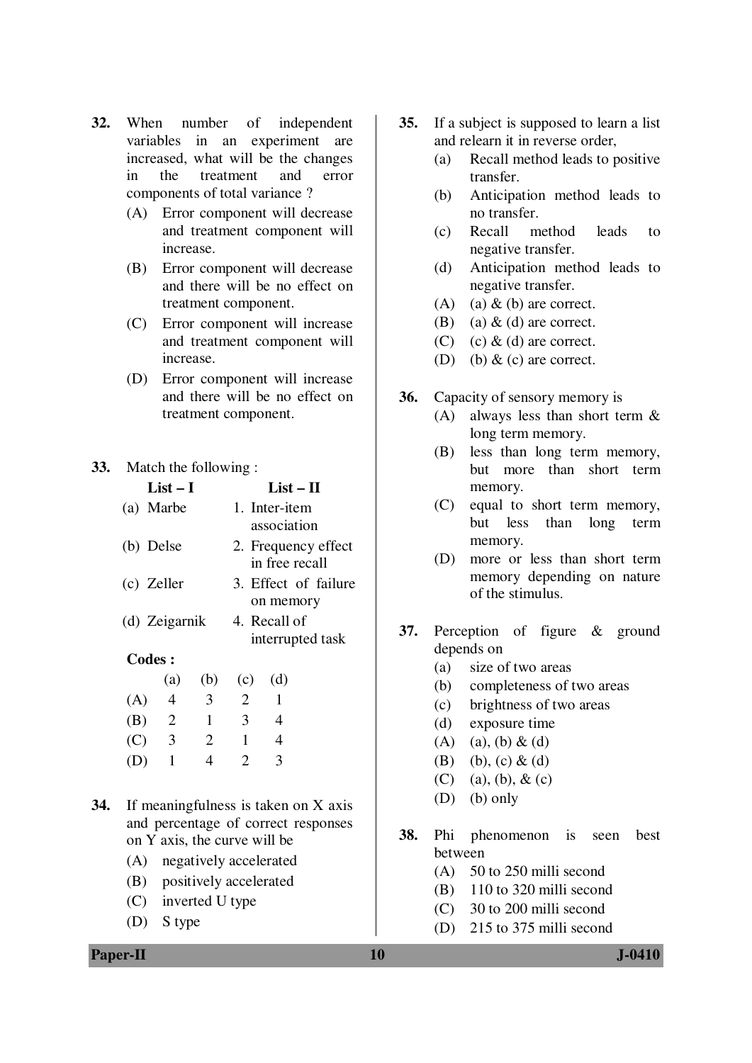- **32.** When number of independent variables in an experiment are increased, what will be the changes in the treatment and error components of total variance ?
	- (A) Error component will decrease and treatment component will increase.
	- (B) Error component will decrease and there will be no effect on treatment component.
	- (C) Error component will increase and treatment component will increase.
	- (D) Error component will increase and there will be no effect on treatment component.

## **33.** Match the following :

| $List-I$      | $List - II$          |
|---------------|----------------------|
| (a) Marbe     | 1. Inter-item        |
|               | association          |
| (b) Delse     | 2. Frequency effect  |
|               | in free recall       |
| (c) Zeller    | 3. Effect of failure |
|               | on memory            |
| (d) Zeigarnik | 4. Recall of         |
|               | interrupted task     |
| Codes:        |                      |
| (a) (b) (c)   | (d)                  |
|               |                      |

| (A) | 4   | 3 | 2            |   |
|-----|-----|---|--------------|---|
| (B) | 2   | 1 | 3            | 4 |
| (C) | - 3 | 2 | ı            | 4 |
| (D) |     | 4 | $\mathbb{Z}$ | 3 |

- **34.** If meaningfulness is taken on X axis and percentage of correct responses on Y axis, the curve will be
	- (A) negatively accelerated
	- (B) positively accelerated
	- (C) inverted U type
	- (D) S type
- **35.** If a subject is supposed to learn a list and relearn it in reverse order,
	- (a) Recall method leads to positive transfer.
	- (b) Anticipation method leads to no transfer.
	- (c) Recall method leads to negative transfer.
	- (d) Anticipation method leads to negative transfer.
	- (A) (a)  $\&$  (b) are correct.
	- (B) (a)  $\&$  (d) are correct.
	- (C) (c)  $\&$  (d) are correct.
	- (D) (b)  $\&$  (c) are correct.
- **36.** Capacity of sensory memory is
	- (A) always less than short term & long term memory.
	- (B) less than long term memory, but more than short term memory.
	- (C) equal to short term memory, but less than long term memory.
	- (D) more or less than short term memory depending on nature of the stimulus.
- **37.** Perception of figure & ground depends on
	- (a) size of two areas
	- (b) completeness of two areas
	- (c) brightness of two areas
	- (d) exposure time
	- $(A)$  (a), (b) & (d)
	- (B) (b), (c)  $& (d)$
	- (C) (a), (b),  $&$  (c)
	- (D) (b) only
- **38.** Phi phenomenon is seen best between
	- (A) 50 to 250 milli second
	- (B) 110 to 320 milli second
	- (C) 30 to 200 milli second
	- (D) 215 to 375 milli second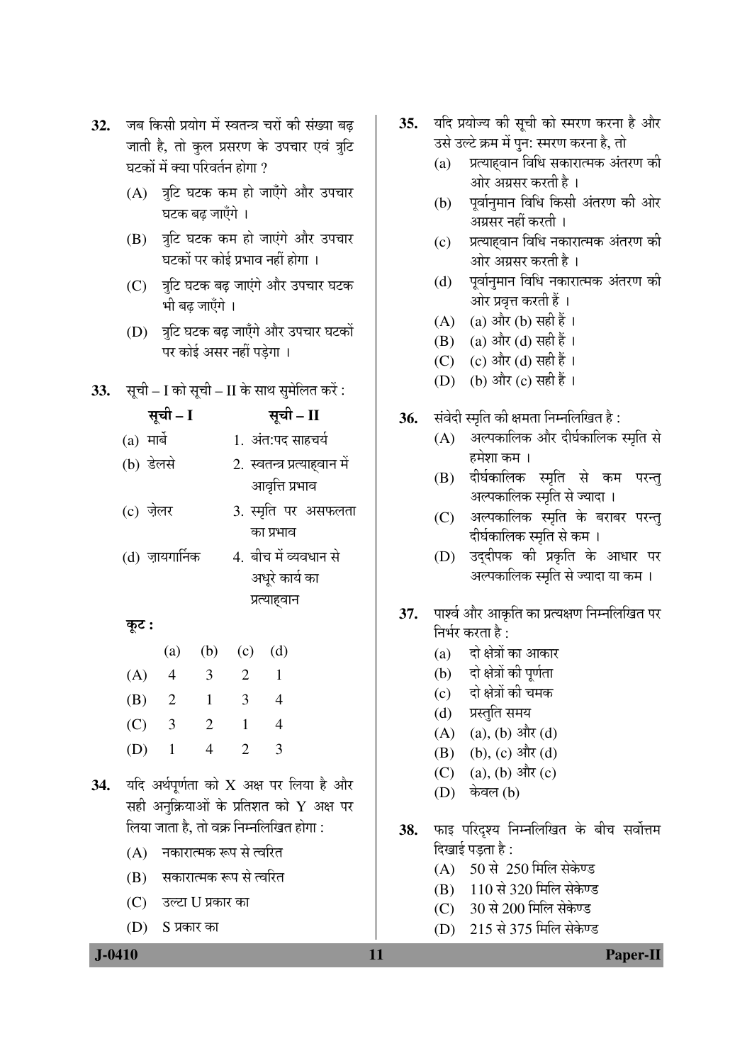- 32. जब किसी प्रयोग में स्वतन्त्र चरों की संख्या बढ जाती है, तो कुल प्रसरण के उपचार एवं त्रूटि घटकों में क्या परिवर्तन होगा  $\overline{\mathcal{V}}$ 
	- $(A)$  त्रटि घटक कम हो जाएँगे और उपचार घटक बढ जाएँगे ।
	- (B) त्रुटि घटक कम हो जाएंगे और उपचार घटकों पर कोई प्रभाव नहीं होगा ।
	- $(C)$  त्रीटे घटक बढ जाएंगे और उपचार घटक भी बढ जाएँगे ।
	- (D) त्र घटक बढ़ जाएँगे और उपचार घटकों पर कोई असर नहीं पड़ेगा ।
- **33.** सूची I को सूची II के साथ सुमेलित करें:
	- ÃÖæ"Öß  **I** ÃÖæ"Öß  **II**
	- (a) ´ÖÖ²Öì 1. †ÓŸÖ:¯Ö¤ü ÃÖÖÆü"ÖµÖÔ
	- $(b)$  डेलसे 2. स्वतन्त्र प्रत्याहवान में आवृत्ति प्रभाव
	- (c) ज़ेलर 3. स्मृति पर असफलता का प्रभाव
	- $(d)$  ज़ायगार्निक  $d$ . बीच में व्यवधान से अधरे कार्य का प्रत्याहवान

# æú™ü **:**

|     | (a)            |   | $(b)$ $(c)$                 | (d) |
|-----|----------------|---|-----------------------------|-----|
| (A) | 4              | 3 | $\mathbf{2}$                |     |
| (B) | $\overline{2}$ | 1 | 3                           | 4   |
| (C) | 3              | 2 | 1                           | 4   |
| (D) | $\mathbf{I}$   | 4 | $\mathcal{D}_{\mathcal{L}}$ | 3   |

- 34. यदि अर्थपूर्णता को X अक्ष पर लिया है और सही अनुक्रियाओं के प्रतिशत को  $\boldsymbol{\mathrm{Y}}$  अक्ष पर लिया जाता है, तो वक्र निम्नलिखित होगा :
	- $(A)$  नकारात्मक रूप से त्वरित
	- (B) सकारात्मक रूप से त्वरित
	- (C) उल्टा U प्रकार का
	- $(D)$   $S$  प्रकार का
- 35. यदि प्रयोज्य की सूची को स्मरण करना है और उसे उल्टे क्रम में पुन: स्मरण करना है, तो
	- $(a)$  प्रत्याहवान विधि सकारात्मक अंतरण की ओर अग्रसर करती है ।
	- (b) पूर्वानुमान विधि किसी अंतरण की ओर अग्रसर नहीं करती ।
	- (c) जिल्याहवान विधि नकारात्मक अंतरण की ओर अग्रसर करती है ।
	- $(d)$  । पूर्वानुमान विधि नकारात्मक अंतरण की ओर प्रवृत्त करती हैं ।
	- (A) (a) और (b) सही हैं ।
	- (B) (a) और (d) सही हैं ।
	- (C)  $(c)$  और (d) सही हैं ।
	- (D) (b) और (c) सही हैं ।
- 36. संवेदी स्मृति की क्षमता निम्नलिखित है:
	- $(A)$  अल्पकालिक और दीर्घकालिक स्मृति से हमेशा कम ।
	- (B) दीर्घकालिक स्मृति से कम परन्त् अल्पकालिक स्मृति से ज्यादा ।
	- (C) जल्पकालिक स्मृति के बराबर परन्तु दीर्घकालिक स्मृति से कम**।**
	- (D) उद्दीपक की प्रकृति के आधार पर अल्पकालिक स्मृति से ज्यादा या कम ।
- 37. पार्श्व और आकृति का प्रत्यक्षण निम्नलिखित पर  $\widehat{H}$ भीर करता है:
	- $(a)$  दो क्षेत्रों का आकार
	- (b) दो क्षेत्रों की पूर्णता
	- (c) दो क्षेत्रों की चमक
	- (d) प्रस्तुति समय
	- (A) (a), (b) और (d)
	- (B) (b), (c) और (d)
	- (C) (a), (b) और (c)
	- $(D)$  केवल  $(b)$
- 38. फाइ परिदृश्य निम्नलिखित के बीच सर्वोत्तम दिखाई पड़ता है :
	- $(A)$  50 से 250 मिलि सेकेण्ड
	- (B) 110 से 320 मिलि सेकेण्ड
	- (C) 30 से 200 मिलि सेकेण्ड
	- (D) 215 से 375 मिलि सेकेण्ड

 **J-0410 11 Paper-II**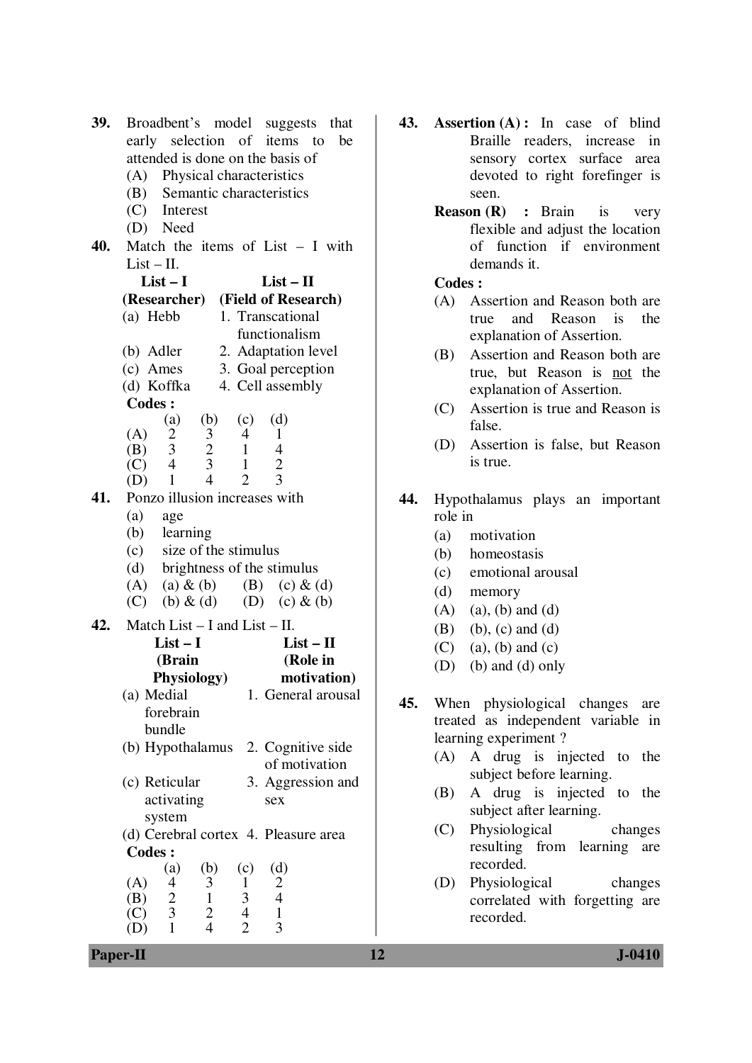| 39. |                                                |                                                 |                                                 |                                | Broadbent's model suggests                      | that        |  |
|-----|------------------------------------------------|-------------------------------------------------|-------------------------------------------------|--------------------------------|-------------------------------------------------|-------------|--|
|     |                                                |                                                 |                                                 |                                | early selection of items to                     | be          |  |
|     | attended is done on the basis of               |                                                 |                                                 |                                |                                                 |             |  |
|     | (A) Physical characteristics                   |                                                 |                                                 |                                |                                                 |             |  |
|     | (B) Semantic characteristics                   |                                                 |                                                 |                                |                                                 |             |  |
|     |                                                | (C) Interest                                    |                                                 |                                |                                                 |             |  |
|     |                                                | (D) Need                                        |                                                 |                                |                                                 |             |  |
| 40. |                                                |                                                 |                                                 |                                | Match the items of List $- I$ with              |             |  |
|     | $List - II$ .                                  |                                                 |                                                 |                                |                                                 |             |  |
|     |                                                | $List - I$                                      |                                                 |                                | $List - II$                                     |             |  |
|     |                                                |                                                 |                                                 |                                | (Researcher) (Field of Research)                |             |  |
|     | (a) Hebb                                       |                                                 |                                                 |                                | 1. Transcational                                |             |  |
|     |                                                |                                                 |                                                 |                                | functionalism                                   |             |  |
|     |                                                |                                                 |                                                 |                                |                                                 |             |  |
|     | (b) Adler                                      |                                                 |                                                 |                                | 2. Adaptation level                             |             |  |
|     | $(c)$ Ames                                     |                                                 |                                                 |                                | 3. Goal perception                              |             |  |
|     | (d) Koffka                                     |                                                 |                                                 |                                | 4. Cell assembly                                |             |  |
|     | <b>Codes:</b>                                  |                                                 |                                                 |                                |                                                 |             |  |
|     | (A)                                            | (a)                                             | (b)                                             | (c)                            | (d)<br>1                                        |             |  |
|     | (B)                                            |                                                 |                                                 | $\overline{4}$<br>$\mathbf{1}$ | $\overline{4}$                                  |             |  |
|     | (C)                                            | $\begin{bmatrix} 2 \\ 3 \\ 4 \end{bmatrix}$     | $\begin{array}{c} 3 \\ 2 \\ 3 \\ 4 \end{array}$ | $\mathbf{1}$                   |                                                 |             |  |
|     | (D)                                            | $\mathbf{1}$                                    |                                                 | $\overline{2}$                 | $\frac{2}{3}$                                   |             |  |
| 41. |                                                |                                                 |                                                 |                                | Ponzo illusion increases with                   |             |  |
|     | (a)                                            | age                                             |                                                 |                                |                                                 |             |  |
|     | (b)                                            | learning                                        |                                                 |                                |                                                 |             |  |
|     |                                                | (c) size of the stimulus                        |                                                 |                                |                                                 |             |  |
|     |                                                |                                                 |                                                 |                                | (d) brightness of the stimulus                  |             |  |
|     |                                                | $(A)$ (a) $\&$ (b)                              |                                                 |                                | (B) (c) $\&$ (d)                                |             |  |
|     |                                                | (C) (b) $\&$ (d)                                |                                                 |                                | (D) (c) $\&$ (b)                                |             |  |
|     |                                                |                                                 |                                                 |                                |                                                 |             |  |
| 42. | Match List $- I$ and List $- II$ .<br>$List-I$ |                                                 |                                                 |                                |                                                 |             |  |
|     |                                                |                                                 |                                                 |                                | $List-II$                                       |             |  |
|     |                                                | (Brain                                          |                                                 |                                | (Role in                                        |             |  |
|     |                                                | Physiology)                                     |                                                 |                                |                                                 | motivation) |  |
|     | (a) Medial                                     |                                                 |                                                 |                                | 1. General arousal                              |             |  |
|     |                                                | forebrain                                       |                                                 |                                |                                                 |             |  |
|     |                                                | bundle                                          |                                                 |                                |                                                 |             |  |
|     |                                                |                                                 |                                                 |                                | (b) Hypothalamus 2. Cognitive side              |             |  |
|     |                                                |                                                 |                                                 |                                | of motivation                                   |             |  |
|     | (c) Reticular                                  |                                                 |                                                 |                                | 3. Aggression and                               |             |  |
|     | activating                                     |                                                 |                                                 |                                | sex                                             |             |  |
|     | system                                         |                                                 |                                                 |                                |                                                 |             |  |
|     | (d) Cerebral cortex 4. Pleasure area           |                                                 |                                                 |                                |                                                 |             |  |
|     | <b>Codes:</b>                                  |                                                 |                                                 |                                |                                                 |             |  |
|     |                                                | (a)                                             | (b)                                             | (c)                            | (d)                                             |             |  |
|     | (A)                                            |                                                 |                                                 | 1                              |                                                 |             |  |
|     | (B)                                            |                                                 |                                                 |                                |                                                 |             |  |
|     | (C)                                            | $\begin{array}{c} 4 \\ 2 \\ 3 \\ 1 \end{array}$ | $\frac{3}{1}$ $\frac{2}{4}$                     | $\frac{3}{4}$                  | $\begin{array}{c} 2 \\ 4 \\ 1 \\ 3 \end{array}$ |             |  |
|     |                                                |                                                 |                                                 |                                |                                                 |             |  |

- **43. Assertion (A) :** In case of blind Braille readers, increase in sensory cortex surface area devoted to right forefinger is seen.
	- **Reason (R) :** Brain is very flexible and adjust the location of function if environment demands it.

 **Codes :** 

- (A) Assertion and Reason both are true and Reason is the explanation of Assertion.
- (B) Assertion and Reason both are true, but Reason is not the explanation of Assertion.
- (C) Assertion is true and Reason is false.
- (D) Assertion is false, but Reason is true.
- **44.** Hypothalamus plays an important role in
	- (a) motivation
	- (b) homeostasis
	- (c) emotional arousal
	- (d) memory
	- $(A)$  (a), (b) and (d)
	- $(B)$  (b),  $(c)$  and  $(d)$
	- (C) (a), (b) and (c)
	- (D) (b) and (d) only
- **45.** When physiological changes are treated as independent variable in learning experiment ?
	- (A) A drug is injected to the subject before learning.
	- (B) A drug is injected to the subject after learning.
	- (C) Physiological changes resulting from learning are recorded.
	- (D) Physiological changes correlated with forgetting are recorded.

**Paper-II 12 J-0410**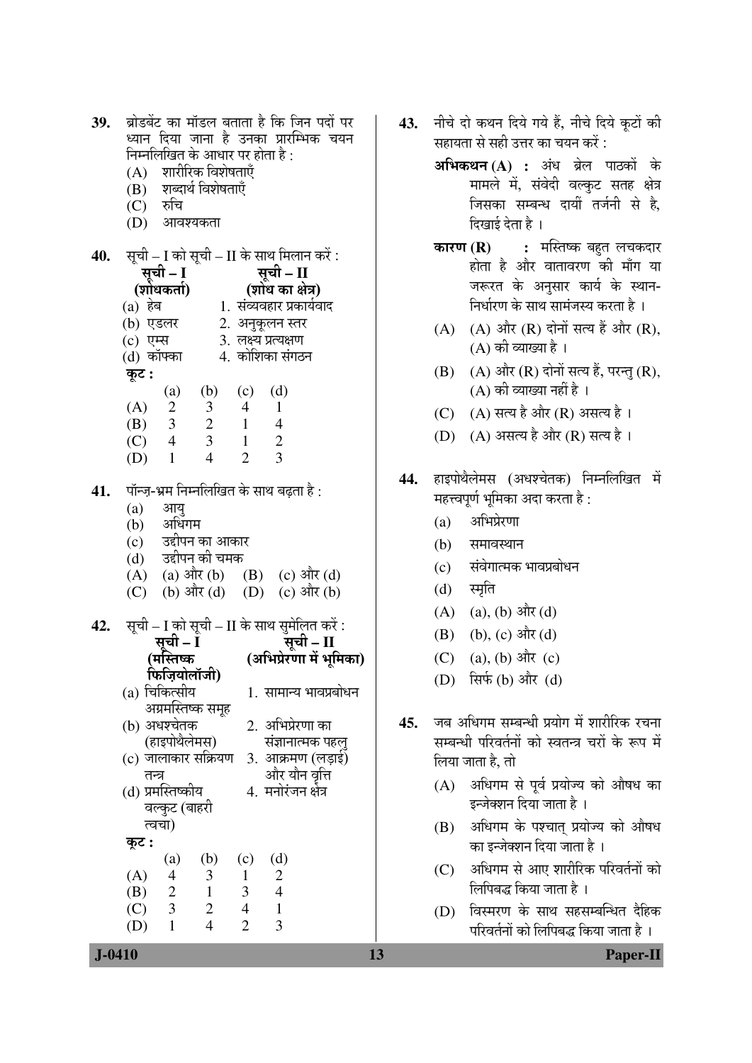| 39.    | ब्रोडबेंट का मॉडल बताता है कि जिन पदों पर<br>ध्यान दिया जाना है उनका प्रारम्भिक चयन                                                              | 43. | नीचे दो कथन दिये गये हैं, नीचे दिये कूटों की<br>सहायता से सही उत्तर का चयन करें : |  |  |
|--------|--------------------------------------------------------------------------------------------------------------------------------------------------|-----|-----------------------------------------------------------------------------------|--|--|
|        | निम्नलिखित के आधार पर होता है :<br>(A) शारीरिक विशेषताएँ                                                                                         |     | अभिकथन (A) : अंध ब्रेल पाठकों के                                                  |  |  |
|        | (B) शब्दार्थ विशेषताएँ                                                                                                                           |     | मामले में, संवेदी वल्कुट सतह क्षेत्र                                              |  |  |
|        | $(C)$ रुचि<br>(D) आवश्यकता                                                                                                                       |     | जिसका सम्बन्ध दायीं तर्जनी से है,<br>दिखाई देता है ।                              |  |  |
|        |                                                                                                                                                  |     | <b>कारण (R) :</b> मस्तिष्क बहुत लचकदार                                            |  |  |
| 40.    | सूची – I को सूची – II के साथ मिलान करें :<br>सूची – I                                                                                            |     | होता है और वातावरण की माँग या                                                     |  |  |
|        | ्रसूची – II<br>(शोधकर्ता) (शोध का क्षेत्र)                                                                                                       |     | जरूरत के अनुसार कार्य के स्थान-                                                   |  |  |
|        | (a) हेब                                     1. संव्यवहार प्रकार्यवाद                                                                             |     | निर्धारण के साथ सामंजस्य करता है ।                                                |  |  |
|        | (b) एडलर 2. अनुकूलन स्तर                                                                                                                         |     | (A) और $(R)$ दोनों सत्य हैं और $(R)$ ,<br>(A)                                     |  |  |
|        | (c) एम्स $\qquad$ 3. लक्ष्य प्रत्यक्षण<br>(d) कॉफ्का 4. कोशिका संगठन                                                                             |     | (A) की व्याख्या है।                                                               |  |  |
|        | कूट :                                                                                                                                            |     | (A) और (R) दोनों सत्य हैं, परन्तु (R),<br>(B)                                     |  |  |
|        | (d)<br>(a)<br>(b)<br>(c)                                                                                                                         |     | (A) की व्याख्या नहीं है ।                                                         |  |  |
|        | (A)<br>$2 \quad 3$<br>4 1<br>$3 \t 2 \t 1 \t 4$<br>(B)                                                                                           |     | $(A)$ सत्य है और $(R)$ असत्य है ।<br>(C)                                          |  |  |
|        | $\frac{1}{2}$<br>$\overline{\mathbf{3}}$<br>$4\overline{ }$<br>$\overline{\phantom{a}}$<br>(C)                                                   |     | (D) (A) असत्य है और (R) सत्य है।                                                  |  |  |
|        | $\overline{3}$<br>$\overline{4}$<br>$\overline{2}$<br>$\mathbf{1}$<br>(D)                                                                        |     |                                                                                   |  |  |
| 41.    | पॉन्ज़-भ्रम निम्नलिखित के साथ बढ़ता है :                                                                                                         | 44. | हाइपोथैलेमस (अधश्चेतक) निम्नलिखित में<br>महत्त्वपूर्ण भूमिका अदा करता है :        |  |  |
|        | (a)<br>आयु<br>(b) अधिगम                                                                                                                          |     | अभिप्रेरणा<br>(a)                                                                 |  |  |
|        | (c) उद्दीपन का आकार                                                                                                                              |     | (b)<br>समावस्थान                                                                  |  |  |
|        | (d) उद्दीपन की चमक<br>(A) (a) $3\pi$ (b) (B) (c) $3\pi$ (d)                                                                                      |     | संवेगात्मक भावप्रबोधन<br>(c)                                                      |  |  |
|        | (b) और (d) (D) (c) और (b)<br>(C)                                                                                                                 |     | स्मृति<br>(d)                                                                     |  |  |
|        |                                                                                                                                                  |     | (A) (a), (b) और (d)                                                               |  |  |
| 42.    | सूची – I को सूची – II के साथ सुमेलित करें :<br>सूची – II<br>सूची – I                                                                             |     | (b), $(c)$ और $(d)$<br>(B)                                                        |  |  |
|        | (अभिप्रेरणा में भूमिका)<br>(मस्तिष्क                                                                                                             |     | $(a), (b)$ और $(c)$<br>(C)                                                        |  |  |
|        | फिज़ियोलॉजी)                                                                                                                                     |     | (D) सिर्फ (b) और (d)                                                              |  |  |
|        | (a) चिकित्सीय<br>1. सामान्य भावप्रबोधन<br>अग्रमस्तिष्क समूह                                                                                      |     |                                                                                   |  |  |
|        | 2. अभिप्रेरणा का<br>(b) अधश्चेतक                                                                                                                 | 45. | जब अधिगम सम्बन्धी प्रयोग में शारीरिक रचना                                         |  |  |
|        | (हाइपोथैलेमस)<br>संज्ञानात्मक पहलु                                                                                                               |     | सम्बन्धी परिवर्तनों को स्वतन्त्र चरों के रूप में                                  |  |  |
|        | (c) जालाकार सक्रियण<br>3. आक्रमण (लड़ाई)<br>और यौन वृत्ति<br>तन्त्र                                                                              |     | लिया जाता है, तो                                                                  |  |  |
|        | (d) प्रमस्तिष्कीय<br>4. मनोरंजन क्षेत्र<br>वल्कुट (बाहरी                                                                                         |     | अधिगम से पूर्व प्रयोज्य को औषध का<br>(A)<br>इन्जेक्शन दिया जाता है ।              |  |  |
|        | त्वचा)<br>कूट :                                                                                                                                  |     | अधिगम के पश्चात् प्रयोज्य को औषध<br>(B)<br>का इन्जेक्शन दिया जाता है ।            |  |  |
|        | (d)<br>(b)<br>(c)<br>$\left( a\right)$<br>$\overline{c}$<br>(A)<br>3<br>4<br>1<br>$\overline{2}$<br>3<br>(B)<br>$\overline{1}$<br>$\overline{4}$ |     | अधिगम से आए शारीरिक परिवर्तनों को<br>(C)<br>लिपिबद्ध किया जाता है ।               |  |  |
|        | 3 <sup>7</sup><br>2<br>$\overline{4}$<br>(C)<br>$\mathbf{1}$                                                                                     |     | विस्मरण के साथ सहसम्बन्धित दैहिक<br>(D)                                           |  |  |
|        | $\overline{2}$<br>3<br>$\overline{4}$<br>$\mathbf{1}$<br>(D)                                                                                     |     | परिवर्तनों को लिपिबद्ध किया जाता है ।                                             |  |  |
| J-0410 |                                                                                                                                                  | 13  | <b>Paper-II</b>                                                                   |  |  |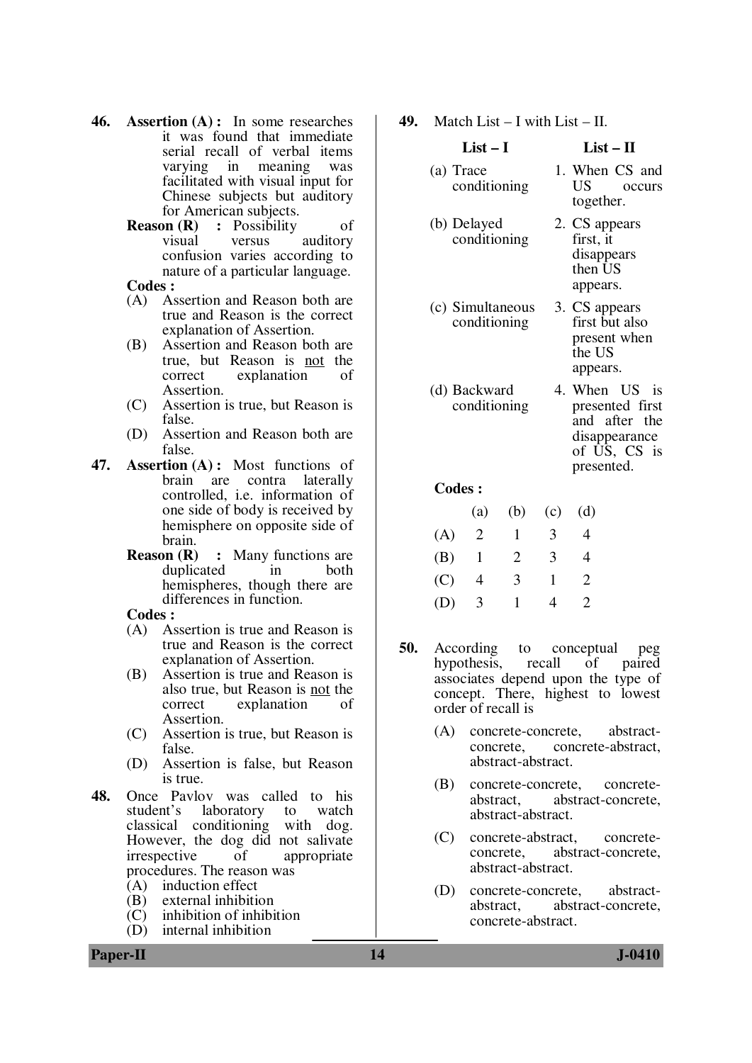- **46. Assertion (A) :** In some researches it was found that immediate serial recall of verbal items varying in meaning was facilitated with visual input for Chinese subjects but auditory
	- for American subjects.<br>Reason (R) : Possibility **Possibility** of visual versus auditory confusion varies according to nature of a particular language.

# **Codes :**

- (A) Assertion and Reason both are true and Reason is the correct explanation of Assertion.
- (B) Assertion and Reason both are true, but Reason is not the correct explanation of Assertion.
- (C) Assertion is true, but Reason is false.
- (D) Assertion and Reason both are false.
- **47. Assertion (A) :** Most functions of brain are contra laterally controlled, i.e. information of one side of body is received by hemisphere on opposite side of brain.
	- **Reason (R) :** Many functions are duplicated in both hemispheres, though there are differences in function.

#### **Codes :**

- (A) Assertion is true and Reason is true and Reason is the correct explanation of Assertion.
- (B) Assertion is true and Reason is also true, but Reason is not the correct explanation of Assertion.
- (C) Assertion is true, but Reason is false.
- (D) Assertion is false, but Reason is true.
- **48.** Once Pavlov was called to his student's laboratory to watch laboratory to watch<br>onditioning with dog. classical conditioning However, the dog did not salivate<br>irrespective of appropriate irrespective of appropriate procedures. The reason was
	- (A) induction effect<br>(B) external inhibition
	- external inhibition
	- (C) inhibition of inhibition<br>(D) internal inhibition
	- internal inhibition

# **49.** Match List – I with List – II.

## **List – I List – II**

- (a) Trace conditioning 1. When CS and US occurs together. (b) Delayed conditioning 2. CS appears first, it disappears then US appears. (c) Simultaneous conditioning 3. CS appears first but also present when the US
- (d) Backward conditioning 4. When US is presented first and after the

#### disappearance of US, CS is presented.

appears.

#### **Codes :**

|     | (a) |   | (b) (c) (d) |                             |
|-----|-----|---|-------------|-----------------------------|
| (A) | - 2 | 1 | 3           | 4                           |
| (B) | - 1 | 2 | 3           | 4                           |
| (C) | 4   | 3 | 1           | $\mathcal{D}_{\cdot}$       |
| (D) | -3  | 1 | 4           | $\mathcal{D}_{\mathcal{L}}$ |

- **50.** According to conceptual peg hypothesis, recall of paired associates depend upon the type of concept. There, highest to lowest order of recall is
	- (A) concrete-concrete, abstractconcrete, concrete-abstract, abstract-abstract.
	- (B) concrete-concrete, concreteabstract, abstract-concrete, abstract-abstract.
	- (C) concrete-abstract, concreteconcrete, abstract-concrete, abstract-abstract.
	- (D) concrete-concrete, abstractabstract, abstract-concrete, concrete-abstract.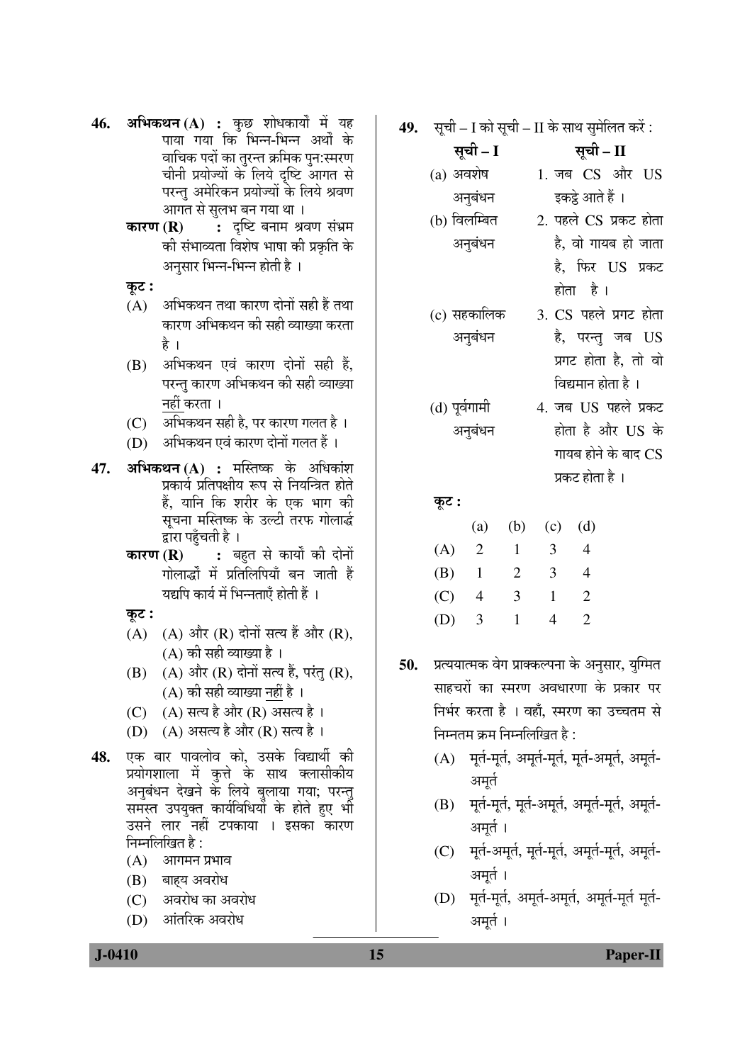- **46. अभिकथन (A) :** कुछ शोधकार्यों में यह पाया गया कि भिन्न-भिन्न अर्थों के ञाचिक पदों का तुरन्त क्रमिक पुन:स्मरण चीनी प्रयोज्यों के लिये दष्टि आगत से परन्तु अमेरिकन प्रयोज्यों के लिये श्रवण आगत से सुलभ बन गया था ।
	- **कारण (R) : दृष्टि बनाम श्रवण संभ्रम** की संभाव्यता विशेष भाषा की प्रकृति के अनुसार भिन्न-भिन्न होती है ।
	- कूट :
	- (A)  $\,$  अभिकथन तथा कारण दोनों सही हैं तथा कारण अभिकथन की सही व्याख्या करता है ।
	- $(B)$  अभिकथन एवं कारण दोनों सही हैं, परन्त कारण अभिकथन की सही व्याख्या −नहीं करता ।
	- (C) अभिकथन सही है. पर कारण गलत है ।
	- (D) अभिकथन एवं कारण दोनों गलत हैं ।
- **47. अभिकथन (A) :** मस्तिष्क के अधिकांश प्रकार्य प्रतिपक्षीय रूप से नियन्त्रित होते हैं, यानि कि शरीर के एक भाग की सचना मस्तिष्क के उल्टी तरफ गोलार्द्ध द्वारा पहुँचती है ।
	- **कारण (R) :** बहुत से कार्यों की दोनों गोलार्द्धों में प्रतिलिपियाँ बन जाती हैं यद्यपि कार्य में भिन्नताएँ होती हैं ।
	- कूट:
	- (A)  $(A)$  और  $(R)$  दोनों सत्य हैं और  $(R)$ , (A) की सही व्याख्या है ।
	- (B)  $(A)$  और  $(R)$  दोनों सत्य हैं, परंतु  $(R)$ , (A) की सही व्याख्या नहीं है ।
	- (C)  $(A)$  सत्य है और (R) असत्य है ।
	- (D)  $(A)$  असत्य है और (R) सत्य है।
- **48.** एक बार पावलोव को, उसके विद्यार्थी की प्रयोगशाला में कृत्ते के साथ क्लासीकीय अनुबंधन देखने के लिये बुलाया गया; परन्तु समस्त उपयुक्त कार्यविधियों के होते हुए भी उसने लार नहीं टपकाया । इसका कारण  $\widehat{H}$ म्नलिखित है $\,$ :
	- $(A)$  आगमन प्रभाव
	- $(B)$  बाहय अवरोध
	- (C) अवरोध का अवरोध
	- (D) आंतरिक अवरोध

**49.** सूची – I को सूची – II के साथ सुमेलित करें :

ÃÖæ"Öß **– I** ÃÖæ"Öß **– II**   $(a)$  अवशेष अनुबंधन 1. जब CS और US इकट्ठे आते हैं ।

- (b) विलम्बित अनुबंधन 2. पहले CS प्रकट होता है. वो गायब हो जाता है, फिर US प्रकट
- $(c)$  सहकालिक अनुबंधन 3. CS पहले प्रगट होता है, परन्तु जब  $US$ प्रगट होता है, तो वो
- (d) पूर्वगामी अनुबंधन
- विद्यमान होता है । 4. जब US पहले प्रकट होता है और US के गायब होने के बाद  $\mathop{\rm CS}\nolimits$

प्रकट होता है ।

होता है।

æú™ü **:**

|     | (a) | (b) |   | $(c)$ $(d)$ |
|-----|-----|-----|---|-------------|
| (A) | - 2 | 1   | 3 | 4           |
| (B) | 1   | 2   | 3 | 4           |
| (C) | 4   | 3   | 1 | 2           |
| (D) | 3   | 1   | 4 | 2           |

- 50. प्रत्ययात्मक वेग प्राक्कल्पना के अनुसार, युग्मित साहचरों का स्मरण अवधारणा के प्रकार पर निर्भर करता है । वहाँ, स्मरण का उच्चतम से निम्नतम क्रम निम्नलिखित है :
	- $(A)$  पूर्त-मूर्त, अमूर्त-मूर्त, मूर्त-अमूर्त, अमूर्त-अमर्त
	- (B) मूर्त-मूर्त, मूर्त-अमूर्त, अमूर्त-मूर्त, अमूर्त-अमर्त ।
	- (C) मूर्त-अमूर्त, मूर्त-मूर्त, अमूर्त-मूर्त, अमूर्त-अमूर्त ।
	- (D) मूर्त-मूर्त, अमूर्त-अमूर्त, अमूर्त-मूर्त मूर्त-अमूर्त ।